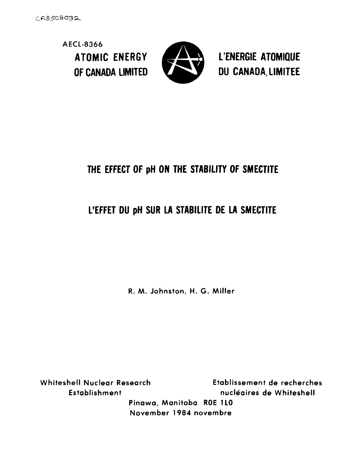**AECL-8366**



ATOMIC ENERGY **ESTIMATOR** L'ENERGIE ATOMIQUE OF CANADA LIMITED **the Canada, LIMITEE** 

# **THE EFFECT OF pH ON THE STABILITY OF SMECTITE**

# **L'EFFET DU pH SUR LA STABILITE DE LA SMECTITE**

**R. M. Johnston, H. G. Miller**

**Whiteshell Nuclear Research Etablissement de recherches Establishment nucleaires de Whiteshell Pinawa, Manitoba ROE 1LO November 1984 novembre**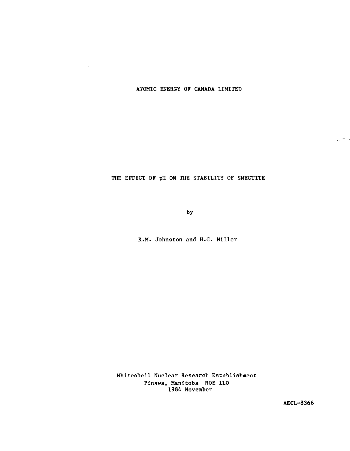ATOMIC ENERGY OF CANADA LIMITED

 $\bar{\tau}$ 

#### THE EFFECT OF pH ON THE STABILITY OF SMECTITE

by

R.M. Johnston and H.G. Miller

Whiteshell Nuclear Research Establishment Plnawa, Manitoba ROE 1L0 1984 November

AECL-8366

بالمرار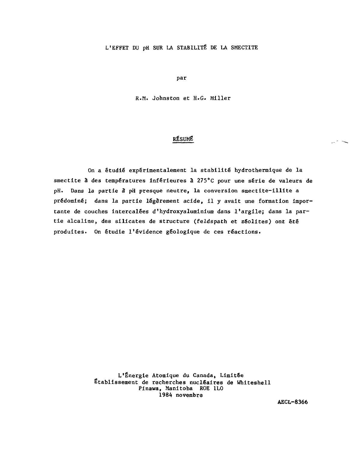#### L'EFFET DU pH SUR LA STABILITÉ DE LA SMECTITE

par

R.M. Johnston et H.G. Miller

#### RÉSUMÉ

On a étudié expérimentalement la stabilité hydrothermique de la smectite à des températures inférieures à 275°C pour une série de valeurs de pH. Dans la partie à pH presque neutre, la conversion smectite-illite a prédominé; dans la partie légèrement acide, II y avait une formation importante de couches intercalées d'hydroxyaluminium dans l'argllej dans la partie alcaline, des silicates de structure (feldspath et zeolites) ont été produites. On étudie l'évidence géologique de ces réactions.

> L'Énergie Atomique du Canada, Limitée Etablissement de recherches nucléaires de Whiteshell Pinawa, Manitoba ROE 1L0 1984 novembre

> > AECL-8366

بالأنبي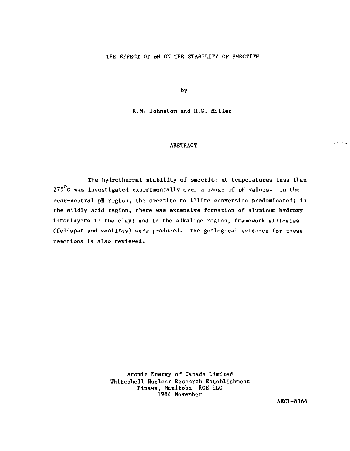#### THE EFFECT OF pH ON THE STABILITY OF SMECTITE

by

R.M. Johnston and H.G. Miller

#### ABSTRACT

The hydrothermal stability of smectite at temperatures less than 275 $^{\circ}$ C was investigated experimentally over a range of pH values. In the near-neutral pH region, the smectite to illite conversion predominated; in the mildly acid region, there was extensive formation of aluminum hydroxy interlayers in the clay; and In the alkaline region, framework silicates (feldspar and zeolites) were produced. The geological evidence for these reactions is also reviewed.

> Atomic Energy of Canada Limited Whiteshell Nuclear Research Establishment Plnawa, Manitoba ROE 1L0 1984 November

> > AECL-8366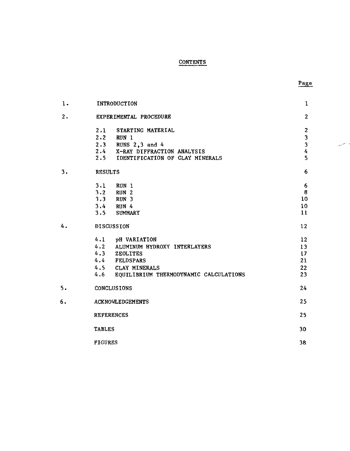### CONTENTS

والمستبد

| $\mathbf 1$ . | <b>INTRODUCTION</b>                        | ı                                               |
|---------------|--------------------------------------------|-------------------------------------------------|
| 2.            | EXPERIMENTAL PROCEDURE                     | $\overline{2}$                                  |
|               | 2.1 STARTING MATERIAL                      | $\overline{c}$                                  |
|               | 2.2 RUN 1                                  |                                                 |
|               | 2.3 RUNS 2,3 and 4                         | $\begin{array}{c} 3 \\ 3 \\ 4 \\ 5 \end{array}$ |
|               | 2.4 X-RAY DIFFRACTION ANALYSIS             |                                                 |
|               | 2.5 IDENTIFICATION OF CLAY MINERALS        |                                                 |
| 3.            | <b>RESULTS</b>                             | 6                                               |
|               | 3.1 RUN 1                                  | $6\phantom{.}6$                                 |
|               | 3.2 RUN 2<br>3.3 RUN 3                     | 8                                               |
|               |                                            | 10                                              |
|               | 3.4 RUN 4                                  | 10                                              |
|               | 3.5 SUMMARY                                | $\mathbf{11}$                                   |
| 4.            | DISCUSSION                                 | 12                                              |
|               | 4.1 pH VARIATION                           | 12 <sup>2</sup>                                 |
|               | 4.2 ALUMINUM HYDROXY INTERLAYERS           | 13                                              |
|               | 4.3 ZEOLITES                               | 17                                              |
|               | 4.4 FELDSPARS                              | 21                                              |
|               | 4.5 CLAY MINERALS                          | 22                                              |
|               | 4.6 EQUILIBRIUM THERMODYNAMIC CALCULATIONS | 23                                              |
| 5.            | CONCLUSIONS                                | 24                                              |
| 6.            | <b>ACKNOWLEDGEMENTS</b>                    | 25                                              |
|               | <b>REFERENCES</b>                          | 25                                              |
|               | <b>TABLES</b>                              | 30                                              |
|               | <b>PTCHDPC</b>                             | າວ                                              |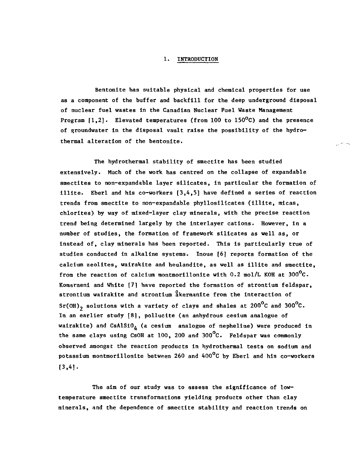#### **1. INTRODUCTION**

**Bentonite has suitable physical and chemical properties for use as a component of the buffer and backfill for the deep underground disposal of nuclear fuel wastes in the Canadian Nuclear Fuel Waste Management Program [1,2]. Elevated temperatures (from 100 to 150°C) and the presence of groundwater in the disposal vault raise the possibility of the hydrothermal alteration of the bentonite.**

**The hydrothermal stability of smectite has been studied extensively. Much of the work has centred on the collapse of expandable smectites to non-expandable layer silicates, in particular the formation of illite. Eberl and his co-workers [3,4,5] have defined a series of reaction trends from smectite to non-expandable phyllosilicates (illite, micas, chlorites) by way of mixed-layer clay minerals, with the precise reaction trend being determined largely by the interlayer cations. However, in a number of studies, the formation of framework silicates as well as, or instead of, clay minerals has been reported. This is particularly true of studies conducted in alkaline systems. Inoue [6] reports formation of the calcium zeolites, wairakite and heulandite, as well as illite and smectite, from the reaction of calcium montmorillonite with 0.2 mol/L KOH at 300°C. Koraarneni and White [7] have reported the formation of strontium feldspar, strontium wairakite and strontium akermanite from the interaction of Sr(OH)2 solutions with a variety of clays and shales at 200°C and 300°C. In an earlier study [81, pollucite (an anhydrous cesium analogue of** wairakite) and CsAlSiO<sub>4</sub> (a cesium analogue of nepheline) were produced in **the same clays using CsOH at 100, 200 and 300°C. Feldspar was commonly observed amongst the reaction products in hydrothermal tests on sodium and potassium montmorillonlte between 260 and 400°C by Eberl and his co-workers**  $[3, 4].$ 

**The aim of our study was to assess the significance of lowtemperature smectite transformations yielding products other than clay minerals, and the dependence of smectite stability and reaction trends on**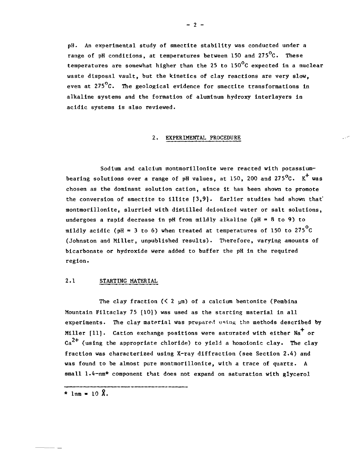pH. An experimental study of smectite stability was conducted under a range of pH conditions, at temperatures between 150 and  $275^{\circ}$ C. These temperatures are somewhat higher than the 25 to  $150^{\circ}$ C expected in a nuclear waste disposal vault, but the kinetics of clay reactions are very slow, even at  $275^{\circ}$ C. The geological evidence for smectite transformations in alkaline systems and the formation of aluminum hydroxy interlayers in acidic systems is also reviewed.

#### 2. EXPERIMENTAL PROCEDURE

Sodium and calcium montmorillonlte were reacted with potassiumbearing solutions over a range of pH values, at 150, 200 and 275 $^{\circ}$ C. K<sup>+</sup> was chosen as the dominant solution cation, since it has been shown to promote the conversion of smectite to illite  $[3,9]$ . Earlier studies had shown that montmorillonite, slurried with distilled delonized water or salt solutions, undergoes a rapid decrease in pH from mildly alkaline ( $pH = 8$  to 9) to mildly acidic (pH = 3 to 6) when treated at temperatures of 150 to 275<sup>o</sup>C (Johnston and Miller, unpublished results). Therefore, varying amounts of bicarbonate or hydroxide were added to buffer the pH In the required region.

#### 2.1 STARTING MATERIAL

The clay fraction  $(2 \mu m)$  of a calcium bentonite (Pembina Mountain Filtaclay 75 [10]) was used as the starting material in all experiments. The clay material was prepared using the methods described by Miller  $[11]$ . Cation exchange positions were saturated with either  $N_a^+$  or Ca $^{2+}$  (using the appropriate chloride) to yield a homoionic clay. The clay fraction was characterized using X-ray diffraction (see Section 2.4) and was found to be almost pure montmorillonite, with a trace of quartz. A small 1.4-nm\* component that does not expand on saturation with glycerol

\*  $lm = 10$   $\Omega$ .

 $- 2 -$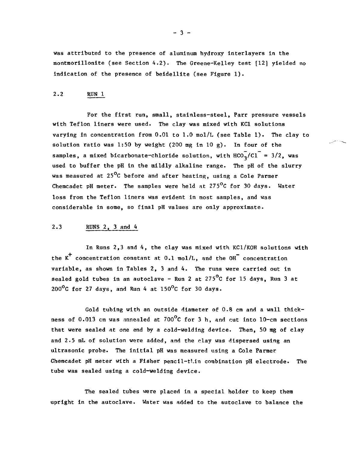was attributed to the presence of aluminum hydroxy lnterlayers In the montmorillonlte (see Section 4.2). The Greene-Kelley test [12] yielded no Indication of the presence of beidelllte (see Figure 1).

#### 2.2 RUN 1

For the first run, small, stainless-steel, Parr pressure vessels with Teflon liners were used. The clay was mixed with KC1 solutions varying in concentration from  $0.01$  to  $1.0$  mol/L (see Table 1). The clay to solution ratio was 1:50 by weight (200 mg in 10 g). In four of the samples, a mixed bicarbonate-chloride solution, with  $HCO_{2}^{-}/CI^{-} = 3/2$ , was used to buffer the pH in the mildly alkaline range. The pH of the slurry was measured at 25<sup>o</sup>C before and after heating, using a Cole Parmer Chemcadet pH meter. The samples were held at  $275^{\circ}$ C for 30 days. Water loss from the Teflon liners was evident in most samples, and was considerable in some, so final pH values are only approximate.

#### 2.3 RUNS 2, 3 and 4

In Runs 2,3 and 4, the clay was mixed with KC1/K0H solutions with the  $K^+$  concentration constant at 0.1 mol/L, and the OH<sup>-</sup> concentration variable, as shown in Tables 2, 3 and 4. The runs were carried out in sealed gold tubes in an autoclave - Run 2 at 275 $^{\circ}$ C for 15 days, Run 3 at  $200^{\circ}$ C for 27 days, and Run 4 at  $150^{\circ}$ C for 30 days.

Gold tubing with an outside diameter of 0.8 cm and a wall thickness of 0.013 cm was annealed at  $700^{\circ}$ C for 3 h, and cut into 10-cm sections that were sealed at one end by a cold-welding device. Then, 50 mg of clay and 2.5 mL of solution were added, and the clay was dispersed using an ultrasonic probe. The initial pH was measured using a Cole Parmer Chemcadet pH meter with a Fisher pencil-thin combination pH electrode. The tube was sealed using a cold-welding device.

The sealed tubes were placed in a special holder to keep them upright in the autoclave. Water was added to the autoclave to balance the

 $-3 -$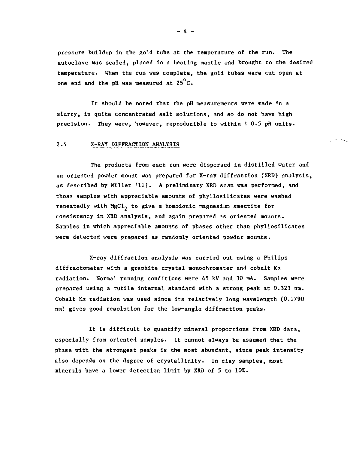pressure buildup in the gold tube at the temperature of the run. The autoclave was sealed, placed in a heating mantle and brought to the desired temperature. When the run was complete, the gold tubes were cut open at one end and the pH was measured at  $25^{\circ}$ C.

It should be noted that the pH measurements were made in a slurry, in quite concentrated salt solutions, and so do not have high precision. They were, however, reproducible to within ± 0.5 pH units.

#### 2.4 X-RAY DIFFRACTION ANALYSIS

The products from each run were dispersed in distilled water and an oriented powder mount was prepared for X-ray diffraction (XRD) analysis, as described by Miller [11]. A preliminary XRD scan was performed, and those samples with appreciable amounts of phyllosilicates were washed repeatedly with MgCl<sub>2</sub> to give a homoionic magnesium smectite for consistency in XRD analysis, and again prepared as oriented mounts. Samples in which appreciable amounts of phases other than phyllosilicates were detected were prepared as randomly oriented powder mounts.

المحاجبين

X-ray diffraction analysis was carried out using a Philips diffractometer with a graphite crystal monochromater and cobalt Ka radiation. Normal running conditions were 45 kV and 30 mA. Samples were prepared using a rutile internal standard with a strong peak at 0.323 nm. Cobalt Ka radiation was used since its relatively long wavelength (0.1790 nm) gives good resolution for the low-angle diffraction peaks.

It Is difficult to quantify mineral proportions from XRD data, especially from oriented samples. It cannot always be assumed that the phase with the strongest peaks is the most abundant, since peak intensity also depends on the degree of crystallinity. In clay samples, most minerals have a lower detection limit by XRD of 5 to 10%.

 $-4 -$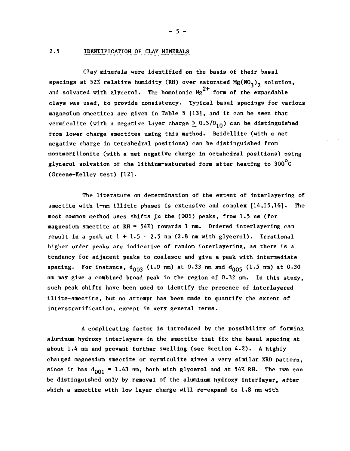#### **2.5 IDENTIFICATION OF CLAY MINERALS**

**Clay minerals were identified on the basis of their basal** spacings at 52% relative humidity (RH) over saturated Mg(NO<sub>2</sub>)<sub>2</sub> solution, and solvated with glycerol. The homoionic Mg<sup>2+</sup> form of the expandable **clays was used, to provide consistency. Typical basal spacings for various magnesium smectites are given in Table 5 [13], and it can be seen that vermiculite (with a negative layer charge**  $\geq 0.5/0_{10}$ **) can be distinguished from lower charge smectites using this method. Beidellite (with a net negative charge in tetrahedral positions) can be distinguished from montmorillonite (with a net negative charge In octahedral positions) using glycerol solvation of the the lithium-saturated form after heating to 300 C (Greene-Kelley test) [12]**

**The literature on determination of the extent of interlayering of smectite with 1-nm illitic phases is extensive and complex [14,15,16]. The most common method uses shifts ^n the (001) peaks, from 1.5 nm (for magnesium smectite at RH = 54%) towards 1 nm. Ordered interlayering can** result in a peak at  $1 + 1.5 = 2.5$  nm  $(2.8$  nm with glycerol). Irrational **higher order peaks are indicative of random interlayering, as there is a tendency for adjacent peaks to coalesce and give a peak with intermediate** spacing. For instance,  $d_{003}$  (1.0 nm) at 0.33 nm and  $d_{005}$  (1.5 nm) at 0.30 **nm may give a combined broad peak in the region of 0.32 nm. In this study, such peak shifts have been used to identify the presence of interlayered illite-smectite, but no attempt has been made to quantify the extent of interstratification, except in very general terras.**

**A complicating factor is introduced by the possibility of forming aluninum hydroxy interlayers in the smectite that fix the basal spacing at about 1.4 nm and prevent further swelling (see Section 4.2). A highly charged magnesium smectite or vermiculite gives a very similar XRD pattern,** since it has  $d_{001} = 1.43$  nm, both with glycerol and at 54% RH. The two can **be distinguished only by removal of the aluminum hydroxy interlayer, after which a smectite with low layer charge will re-expand to 1.8 nm with**

**- 5 -**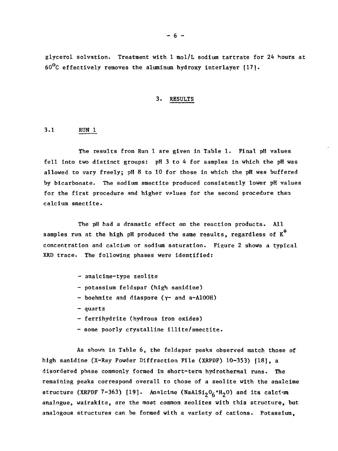glycerol solvation. Treatment with 1 mol/L sodium tartrate for 24 hours at  $60^{\circ}$ C effectively removes the aluminum hydroxy interlayer [17].

#### 3. RESULTS

#### 3.1 RUN 1

The results from Run 1 are given in Table 1. Final pH values fell into two distinct groups: pH 3 to 4 for samples in which the pH was allowed to vary freely; pH 8 to 10 for those in which the pH was buffered by bicarbonate. The sodium smectite produced consistently lower pH values for the first procedure and higher values for the second procedure than calcium smectite.

The pH had a dramatic effect on the reaction products. All samples run at the high pH produced the same results, regardless of  $K^+$ concentration and calcium or sodium saturation. Figure 2 shows a typical XRD trace. The following phases were identified:

- analcime-type zeolite
- potassium feldspar (high sanidine)
- boehmite and diaspore (y~ and a-AlOOH)
- quartz
- ferrihydrite (hydrous iron oxides)
- some poorly crystalline illite/smectite.

As shown in Table 6, the feldspar peaks observed match those of high aanidine (X-Ray Powder Diffraction File (XRPDF) 10-353) [18], a disordered phase commonly formed in short-term hydrothermal runs. The remaining peaks correspond overall to those of a zeolite with the analcime structure (XRPDF 7-363) [19]. Analcime (NaAlSi<sub>2</sub>O<sub>6</sub>'H<sub>2</sub>O) and its calcium analogue, wairaklte, are the most common zeolites with this structure, but analogous structures can be formed with a variety of cations. Potassium,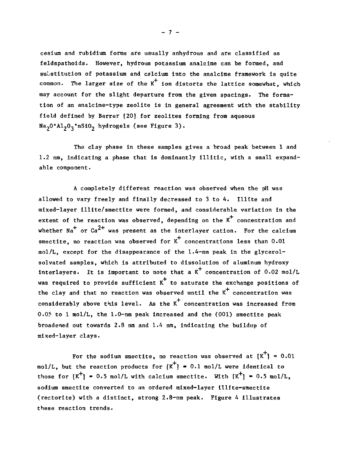cesium and rubidium forms are usually anhydrous and are classified as feldspathoids. However, hydrous potassium analclme can be formed, and substitution of potassium and calcium into the analcime framework is quite common. The larger size of the  $K^+$  ion distorts the lattice somewhat, which may account for the slight departure from the given spacings. The formation of an analcime-type zeolite is in general agreement with the stability field defined by Barrer [20] for zeolites forming from aqueous Na<sub>2</sub>O\*Al<sub>2</sub>O<sub>3</sub>\*nSiO<sub>2</sub> hydrogels (see Figure 3).

The clay phase in these samples gives a broad peak between 1 and 1.2 nm, indicating a phase that is dominantly illitic, with a small expandable component.

A completely different reaction was observed when the pH was allowed to vary freely and finally decreased to 3 to 4. Illite and mixed-layer lllite/smectlte were formed, and considerable variation in the extent of the reaction was observed, depending on the  $K^+$  concentration and whether Na $^+$  or Ca $^{2+}$  was present as the interlayer cation. For the calcium smectite, no reaction was observed for  $x^+$  concentrations less than 0.01 mol/L, except for the disappearance of the 1.4-nm peak in the glycerolsolvated samples, which Is attributed to dissolution of aluminum hydroxy interlayers. It is important to note that a  $K^+$  concentration of 0.02 mol/L was required to provide sufficient  $\kappa^+$  to saturate the exchange positions of the clay and that no reaction was observed until the  $K^+$  concentration was considerably above this level. As the K concentration was Increased from 0.05 to 1 mol/L, the 1.0-nm peak increased and the (001) smectite peak broadened out towards 2.8 nm and 1.4 nm, Indicating the buildup of mixed-layer clays.

For the sodium smectite, no reaction was observed at  $K^{\dagger}$  = 0.01 mol/L, but the reaction products for  $K^+$ ] = 0.1 mol/L were identical to those for  $[K^+]$  = 0.5 mol/L with calcium smectite. With  $[K^+]$  = 0.5 mol/L, sodium smectite converted to an ordered mixed-layer lllite-smectite (rectorlte) with a distinct, strong 2.8-nm peak. Figure 4 illustrates these reaction trends.

 $-7 -$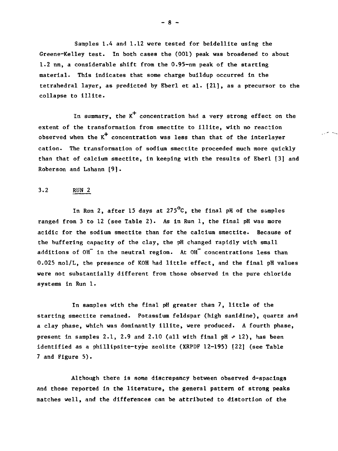Samples 1.4 and 1.12 were tested for beldelllte using the Greene-Kelley test. In both cases the (001) peak was broadened to about 1.2 nm, a considerable shift from the 0.95-nm peak of the starting material. This indicates that some charge buildup occurred in the tetrahedral layer, as predicted by Eberl et al. [21], as a precursor to the collapse to illite.

In summary, the  $K^+$  concentration had a very strong effect on the extent of the transformation from smectite to illite, with no reaction observed when the  $K^+$  concentration was less than that of the interlayer cation. The transformation of sodium smectite proceeded much more quickly than that of calcium smectite, in keeping with the results of Eberl [3] and Roberson and Lahann [9].

#### 3.2 RUN 2

In Run 2, after 15 days at  $275^{\circ}$ C, the final pH of the samples ranged from 3 to 12 (see Table 2). As in Run 1, the final pH was more acidic for the sodium smectite than for the calcium smectite. Because of the buffering capacity of the clay, the pH changed rapidly with small additions of OH<sup>-</sup> in the neutral region. At OH<sup>-</sup> concentrations less than 0.025 mol/L, the presence of KOH had little effect, and the final pH values were not substantially different from those observed in the pure chloride systems in Run 1.

In samples with the final pH greater than 7, little of the starting smectite remained. Potassium feldspar (high sanidine), quartz and a clay phase, which was dominantly illite, were produced. A fourth phase, present in samples 2.1, 2.9 and 2.10 (all with final pH  $\sim$  12), has been identified as a phillipsite-type zeolite (XRPDF 12-195) [22] (see Table 7 and Figure 5).

Although there is some discrepancy between observed d-spacings and those reported In the literature, the general pattern of strong peaks matches well, and the differences can be attributed to distortion of the

 $- 8 -$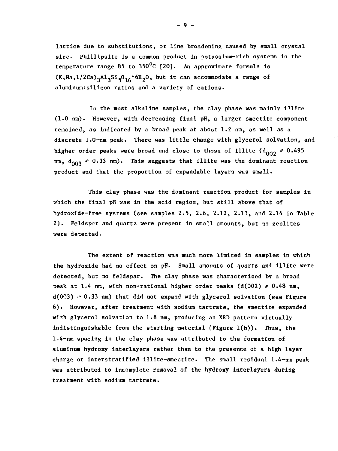lattice due to substitutions, or line broadening caused by small crystal size. Phillipsite is a common product in potassium-rich systems in the temperature range 85 to  $350^{\circ}$ C [20]. An approximate formula is  $(K, Na, 1/2Ca)$ <sub>3</sub>Al<sub>3</sub>Si<sub>5</sub>O<sub>16</sub> 6H<sub>2</sub>O, but it can accommodate a range of aluminum:silicon ratios and a variety of cations.

In the most alkaline samples, the clay phase was mainly illite (1.0 nm). However, with decreasing final pH, a larger smectite component remained, as indicated by a broad peak at about 1.2 nm, as well as a discrete 1.0-nm peak. There was little change with glycerol solvation, and higher order peaks were broad and close to those of illite  $(d_{002} \cdot 0.495$  $nm$ ,  $d_{003}$   $\sim$  0.33 nm). This suggests that illite was the dominant reaction product and that the proportion of expandable layers was small.

This clay phase was the dominant reaction product for samples in which the final pH was in the acid region, but still above that of hydroxide-free systems (see samples 2.5, 2.6, 2.12, 2.13, and 2.14 in Table 2 ). Feldspar and quartz were present in small amounts, but no zeolites were detected.

The extent of reaction was much more limited in samples in which the hydroxide had no effect on pH. Small amounts of quartz and illite were detected, but no feldspar. The clay phase was characterized by a broad peak at 1.4 nm, with non-rational higher order peaks ( $d(002)$   $\sim$  0.48 nm,  $d(003)$   $\sim$  0.33 nm) that did not expand with glycerol solvation (see Figure 6 ). However, after treatment with sodium tartrate, the smectite expanded with glycerol solvation to 1.8 nm, producing an XRD pattern virtually indistinguishable from the starting material (Figure l(b)). Thus, the 1.4-nm spacing in the clay phase was attributed to the formation of aluminum hydroxy interlayers rather than to the presence of a high layer charge or interstratified illite-smectite. The small residual 1.4-nm peak was attributed to incomplete removal of the hydroxy interlayers during treatment with sodium tartrate.

- 9 -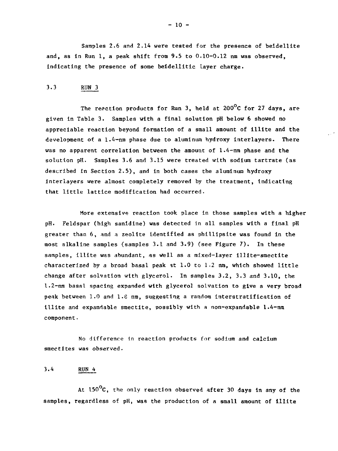Samples 2.6 and 2.14 were tested for the presence of beidellite and, as in Run 1, a peak shift from 9.5 to 0.10-0.12 nm was observed, indicating the presence of some beidellitic layer charge.

#### 3.3 RUN 3

The reaction products for Run 3, held at  $200^{\circ}$ C for 27 days, are given In Table 3. Samples with a final solution pH below 6 showed no appreciable reaction beyond formation of a small amount of illite and the development of a 1.4-mn phase due to aluminum hydroxy interlayers. There was no apparent correlation between the amount of 1.4-nm phase and the solution pH. Samples 3.6 and 3.15 were treated with sodium tartrate (as described in Section 2.5), and in both cases the aluminum hydroxy interlayers were almost completely removed by the treatment, indicating that little lattice modification had occurred.

More extensive reaction took place in those samples with a higher pH. Feldspar (high sanidine) was detected in all samples with a final pH greater than 6, and a zeolite identified as phillipsite was found in the most alkaline samples (samples 3.1 and 3.9) (see Figure 7). In these samples, illite was abundant, as well as a mixed-layer illite-smectite characterized by a broad basal peak at 1.0 to 1.2 nm, which showed little change after solvation with glycerol. In samples 3.2, 3.3 and 3.10, the 1.2-nm basal spacing expanded with glycerol solvation to give a very broad peak between 1.0 and 1.8 nm, suggesting a random interstratification of Illite and expandable smectite, possibly with a non-expandable 1.4-nm component.

No difference in reaction products for sodium and calcium smectites was observed.

#### 3.4 RUN 4

At 150°C, the only reaction observed after 30 days in any of the samples, regardless of pH, was the production of a small amount of illite

 $- 10 -$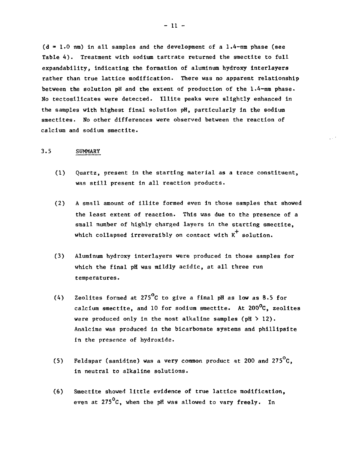$(d = 1.0 \text{ nm})$  in all samples and the development of a 1.4-nm phase (see Table 4) . Treatment with sodium tartrate returned the smectite to full expandability, indicating the formation of aluminum hydroxy interlayers rather than true lattice modification. There was no apparent relationship between the solution pH and the extent of production of the 1.4-nm phase. No tectosilicates were detected. Illite peaks were slightly enhanced in the samples with highest final solution pH, particularly in the sodium smectites. No other differences were observed between the reaction of calcium and sodium smectite.

#### 3.5 SUMMARY

- (1) Quartz, present in the starting material as a trace constituent, was still present in all reaction products.
- (2) A small amount of illite formed even in those samples that showed the least extent of reaction. This was due to the presence of a small number of highly charged layers in the starting smectite, which collapsed irreversibly on contact with  $K^+$  solution.
- (3) Aluminum hydroxy interlayers were produced in those samples for which the final pH was mildly acidic, at all three run temperatures.
- (4) Zeolites formed at 275<sup>o</sup>C to give a final pH as low as 8.5 for calcium smectite, and 10 for sodium smectite. At  $200^{\circ}$ C, zeolites were produced only in the most alkaline samples  $(\text{pH} > 12)$ . Analcime was produced in the bicarbonate systems and phillipsite in the presence of hydroxide.
- (5) Feldspar (sanidine) was a very common product at 200 and 275 $^{\circ}$ C. in neutral to alkaline solutions.
- (6) Smectite showed little evidence of true lattice modification, even at  $275^{\circ}$ C, when the pH was allowed to vary freely. In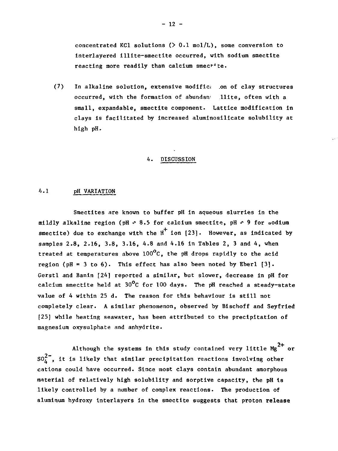concentrated KC1 solutions (> 0.1 mol/L), some conversion to Interlayered llllte-smectlte occurred, with sodium smectite reacting more readily than calcium smectie.

(7) In alkaline solution, extensive modific; .on of clay structures occurred, with the formation of abundant llite, often with a small, expandable, smectite component. Lattice modification in clays is facilitated by increased aluminoslllcate solubility at high pH.

#### 4. DISCUSSION

#### 4.1 pH VARIATION

Smectites are known to buffer pH In aqueous slurries in the mildly alkaline region (pH  $\sim$  8.5 for calcium smectite, pH  $\sim$  9 for sodium smectite) due to exchange with the  $H^+$  ion [23]. However, as indicated by samples 2.8, 2.16, 3.8, 3.16, 4.8 and 4.16 in Tables 2, 3 and 4, when treated at temperatures above  $100^{\circ}$ C, the pH drops rapidly to the acid region ( $pH = 3$  to 6). This effect has also been noted by Eberl  $[3]$ . Gerstl and Banln [24] reported a similar, but slower, decrease In pH for calcium smectite held at  $30^{\circ}$ C for 100 days. The pH reached a steady-state value of 4 within 25 d. The reason for this behaviour Is still not completely clear. A similar phenomenon, observed by Bischoff and Seyfried [25] while heating seawater, has been attributed to the precipitation of magnesium oxysulphate and anhydrite.

Although the systems in this study contained very little  $Mg^{2+}$  or  $50<sub>4</sub><sup>2</sup>$ , it is likely that similar precipitation reactions involving other cations could have occurred. Since most clays contain abundant amorphous material of relatively high solubility and sorptive capacity, the pH Is likely controlled by a number of complex reactions. The production of aluminum hydroxy interlayers in the smectite suggests that proton release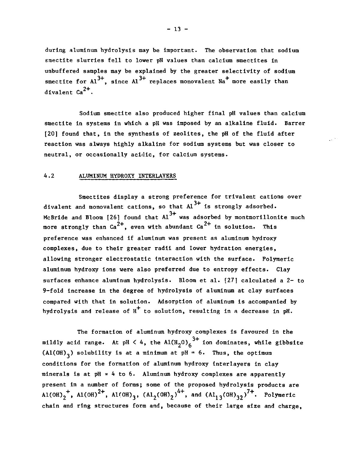during aluminum hydrolysis may be important. The observation that sodium smectite slurries fell to lower pH values than calcium smectites in unbuffered samples may be explained by the greater selectivity of sodium smectite for Al $^{\prime\prime}$ , since Al $^{\prime\prime}$  replaces monovalent Na $^{\prime}$  more easily than divalent Ca<sup>2+</sup>

Sodium smectite also produced higher final pH values than calcium smectite in systems in which a pH was imposed by an alkaline fluid. Barrer [20] found that, in the synthesis of zeolites, the pH of the fluid after reaction was always highly alkaline for sodium systems but was closer to neutral, or occasionally acidic, for calcium systems.

#### 4.2 ALUMINUM HYDROXY INTERLAYERS

Smectites display a strong preference for trivalent cations over divalent and monovalent cations, so that  $Al^{3+}$  is strongly adsorbed. McBride and Bloom [26] found that  $Al^{3+}$  was adsorbed by montmorillonite much more strongly than  $Ca^{2+}$ , even with abundant  $Ca^{2+}$  in solution. This preference was enhanced if aluminum was present as aluminum hydroxy complexes, due to their greater radii and lower hydration energies, allowing stronger electrostatic interaction with the surface. Polymeric aluminum hydroxy ions were also preferred due to entropy effects. Clay surfaces enhance aluminum hydrolysis. Bloom et al. [27] calculated a 2- to 9-fold increase in the degree of hydrolysis of aluminum at clay surfaces compared with that in solution. Adsorption of aluminum is accompanied by hydrolysis and release of  $H^+$  to solution, resulting in a decrease in pH.

The formation of aluminum hydroxy complexes is favoured in the mildly acid range. At pH  $\leq 4$ , the Al $(H, 0)$ <sub>c</sub>, ion dominates, while gibbsite (Al(OH)<sub>2</sub>) solubility is at a minimum at pH = 6. Thus, the optimum conditions for the formation of aluminum hydroxy tnterlayers in clay minerals is at pH  $\approx$  4 to 6. Aluminum hydroxy complexes are apparently present in a number of forms; some of the proposed hydrolysis products are Al(OH)<sub>2</sub><sup>+</sup>, Al(OH)<sup>2+</sup>, Al(OH)<sub>3</sub>, (Al<sub>2</sub>(OH)<sub>2</sub>)<sup>4+</sup>, and (Al<sub>13</sub>(OH)<sub>32</sub>)<sup>7+</sup>. Polymeric chain and ring structures form and, because of their large size and charge,

 $- 13 -$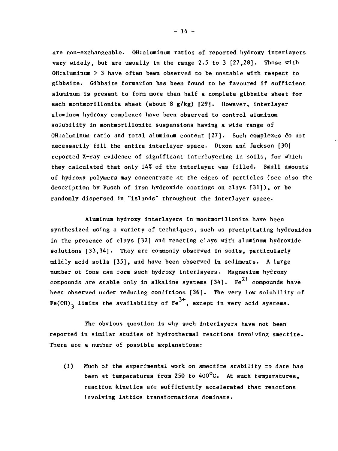are non-exchangeable. OH:aluminum ratios of reported hydroxy interlayers vary widely, but are usually in the range 2.5 to 3 [27,28]. Those with OH:aluminum  $>$  3 have often been observed to be unstable with respect to gibbsite. Gibbsite formation has been found to be favoured if sufficient aluminum is present to form more than half a complete gibbsite sheet for each montmorillonite sheet (about 8 g/kg) [29]. However, interlayer aluminum hydroxy complexes have been observed to control aluminum<br>solubility in montmorillonite suspensions having a wide range of solutions in monthly suspensions having a wide range of  $\mathbb{R}^n$ OH:aluminum ratio and total aluminum content  $[27]$ . Such complexes do not necessarily fill the entire interlayer space. Dixon and Jackson  $[30]$ reported X-ray evidence of significant interlayering in soils, for which they calculated that only 14% of the interlayer was filled. Small amounts of hydroxy polymers may concentrate at the edges of particles (see also the description by Pusch of iron hydroxide coatings on clays [31]), or be randomly dispersed in "islands" throughout the interlayer space.

Aluminum hydroxy interlayers in montmorillonite have been synthesized using a variety of techniques, such as precipitating hydroxides in the presence of clays [32] and reacting clays with aluminum hydroxide solutions [33,34]. They are commonly observed in soils, particularly mildly acid soils [35], and have been observed in sediments. A large number of ions can form such hydroxy interlayers. Magnesium hydroxy compounds are stable only in alkaline systems [34].  $\,$  Fe $^{2+}$  compounds have been observed under reducing conditions [36]. The very low solubility of Fe(OH), limits the availability of  $Fe^{3+}$ , except in very acid systems.

The obvious question is why such interlayers have not been reported in similar studies of hydrothermal reactions involving smectite. There are a number of possible explanations:

(1) Much of the experimental work on smectite stability to date has been at temperatures from 250 to  $400^{\circ}$ C. At such temperatures, reaction kinetics are sufficiently accelerated that reactions involving lattice transformations dominate.

 $-14 -$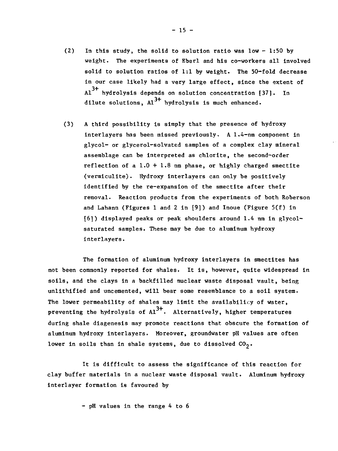- (2) In this study, the solid to solution ratio was low  $-1:50$  by weight. The experiments of Eberl and his co-workers all involved solid to solution ratios of  $1:1$  by weight. The 50-fold decrease in our case likely had a very large effect, since the extent of  $A1<sup>3+</sup>$  hydrolysis depends on solution concentration [37]. In dilute solutions,  $Al^{3+}$  hydrolysis is much enhanced.
- (3) A third possibility is simply that the presence of hydroxy interlayers has been missed previously. A 1.4-nm component in glycol- or glycerol-solvated samples of a complex clay mineral assemblage can be interpreted as chlorite, the second-order reflection of a  $1.0 + 1.8$  nm phase, or highly charged smectite (vermiculite). Hydroxy Interlayers can only be positively identified by the re-expansion of the smectite after their removal. Reaction products from the experiments of both Roberson and Lahann (Figures 1 and 2 in [9]) and Inoue (Figure 5(f) in [6]) displayed peaks or peak shoulders around 1.4 nm in glycolsaturated samples. These may be due to aluminum hydroxy interlayers.

The formation of aluminum hydroxy interlayers in smectites has not been commonly reported for shales. It is, however, quite widespread in soils, and the clays in a backfilled nuclear waste disposal vault, being unlithified and uncemented, will bear some resemblance to a soil system. The lower permeability of shales may limit the availability of water, preventing the hydrolysis of  $Al^{3+}$ . Alternatively, higher temperatures during shale diagenesis may promote reactions that obscure the formation of aluminum hydroxy interlayers. Moreover, groundwater pH values are often lower in soils than in shale systems, due to dissolved  $CO_2$ .

It is difficult to assess the significance of this reaction for clay buffer materials in a nuclear waste disposal vault. Aluminum hydroxy interlayer formation is favoured by

- pH values in the range 4 to 6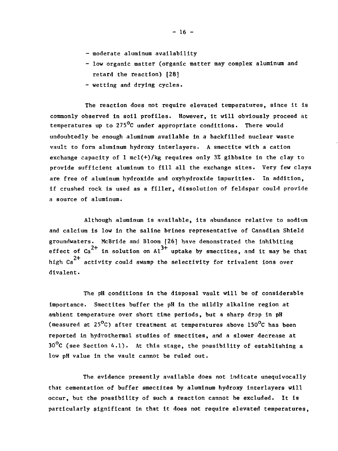- moderate aluminum availability
- low organic matter (organic matter may complex aluminum and retard the reaction) [28]
- wetting and drying cycles.

The reaction does not require elevated temperatures, since it is commonly observed in soil profiles. However, it will obviously proceed at temperatures up to 275<sup>o</sup>C under appropriate conditions. There would undoubtedly be enough aluminum available in a backfilled nuclear waste vault to form aluminum hydroxy interlayers. A smectite with a cation exchange capacity of  $1 \text{ mcl}(+)$ /kg requires only 3% gibbsite in the clay to provide sufficient aluminum to fill all the exchange sites. Very few clays are free of aluminum hydroxide and oxyhydroxide impurities. In addition, if crushed rock is used as a filler, dissolution of feldspar could provide a source of aluminum.

Although aluminum is available, its abundance relative to sodium and calcium is low in the saline brines representative of Canadian Shield groundwaters. McBride and Bloom [26] have demonstrated the inhibiting effect of  $Ca^{2+}$  in solution on  $A1^{3+}$  uptake by smectites, and it may be that high  $Ca^{2+}$  activity could swamp the selectivity for trivalent ions over divalent.

The pH conditions in the disposal vault will be of considerable importance. Smectites buffer the pH in the mildly alkaline region at ambient temperature over short time periods, but a sharp drop in pH (measured at 25°C) after treatment at temperatures above 150°C has been reported in hydrothermal studies of smectites, and a slower decrease at  $30^{\circ}$ C (see Section 4.1). At this stage, the possibility of establishing a low pH value in the vault cannot be ruled out.

The evidence presently available does not indicate unequivocally that cementation of buffer smectites by aluminum hydroxy interlayers will occur, but the possibility of such a reaction cannot be excluded. It is particularly significant in that it does not require elevated temperatures,

 $- 16 -$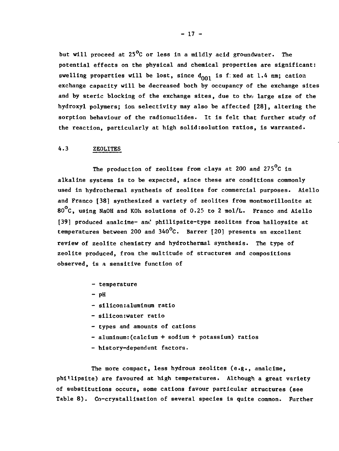**but will proceed at 25°C or less in a mildly acid groundwater. The potential effects on the physical and chemical properties are significant: swelling properties will be lost, since dQ01 is f: xed at 1.4 nm; cation exchange capacity will be decreased both by occupancy of the exchange sites and by steric blocking of the exchange sites, due to th(; large size of the hydroxyl polymers; ion selectivity may also be affected [28], altering the sorption behaviour of the radionuclides. It is felt that further study of the reaction, particularly at high solid:solution ratios, is warranted.**

#### **4.3 ZEOLITES**

**The production of zeolites from clays at 200 and 275°C in alkaline systems is to be expected, since these are conditions commonly used in hydrothermal synthesis of zeolites for commercial purposes. Aiello and Franco [38] synthesized a variety of zeolites from montmorillonite at 80°C, using NaOH and KOh solutions of 0.25 to 2 mol/L. Franco and Aiello [39] produced analcirae- am' phillipsite-type zeolites from halloysite at temperatures between 200 and 34O°C. Barrer [20] presents an excellent review of zeolite chemistry and hydrothermal synthesis. The type of zeolite produced, from the multitude of structures and compositions observed, is a sensitive function of**

- **temperature**
- $-$  pH
- **silicon:alumlnum ratio**
- **siliconrwater ratio**
- **types and amounts of cations**
- **aluminum:(calcium + sodium + potassium) ratios**
- **history-dependent factors.**

**The more compact, less hydrous zeolites (e.g., analcime, phillipsite) are favoured at high temperatures. Although a great variety of substitutions occurs, some cations favour particular structures (see Table 8). Co-crystallisation of several species is quite common. Further**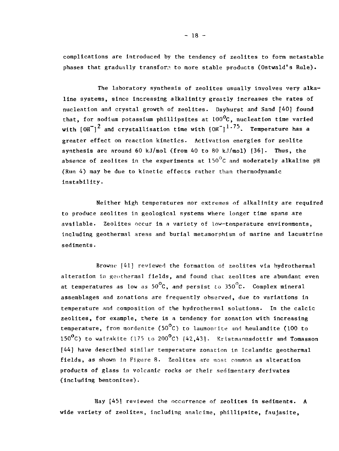complications are introduced by the tendency of zeolites to form metastable phases that gradually transform to more stable products (Ostwald's Rule).

The laboratory synthesis of zeolites usually involves very alkaline systems, since increasing alkalinity greatly increases the rates of nucleation and crystal growth of zeolites. Dayhurst and Sand [40] found that, for sodium potassium phillipsites at  $100^{\circ}$ C, nucleation time varied with  $[OH^-]$ <sup>2</sup> and crystallisation time with  $[OH^-]$ <sup>1.75</sup>. Temperature has a greater effect on reaction kinetics. Activation energies for zeolite synthesis are around 60 kJ/mol (from 40 to 80 kJ/mol)  $[36]$ . Thus, the absence of zeolites in the experiments at  $150^{\circ}$ C and moderately alkaline pH (Run 4) may be due to kinetic effects rather than thermodynamic instability.

Neither high temperatures nor extremes of alkalinity are required to produce zeolites in geological systems where longer time spans are available. Zeolites occur in a variety of low-temperature environments, including geothermal areas and burial metamorphism of marine and lacustrine sediments.

Browne [41] reviewed the formation of zeolites via hydrothermal alteration in geotherinal fields, and found chac zeolites are abundant even at temperatures as low as  $50^{\circ}{\rm C}$ , and persist to  $350^{\circ}{\rm C}$ . Complex mineral assemblages and zonations are frequently observed, due to variations in temperature and composition of the hydrothermal solutions. In the calcic zeolites, for example, there is a tendency for zonation with increasing temperature, from mordenite (50 $^{\circ}$ C) to laumontite and heulandite (100 to 150 $^{\circ}$ C) to wairakite (175 to 200 $^{\circ}$ C) [42,43]. Kristmannsdottir and Tomasson [44] have described similar temperature zonation in Icelandic geothermal fields, as shown in Figure 8. Zeolites are most common as alteration products of glass in volcanic rocks or their sedimentary derivates (including bentonites).

Hay [45] reviewed the occurrence of zeolites in sediments. A wide variety of zeolites, including analcime, phillipsite, faujasite,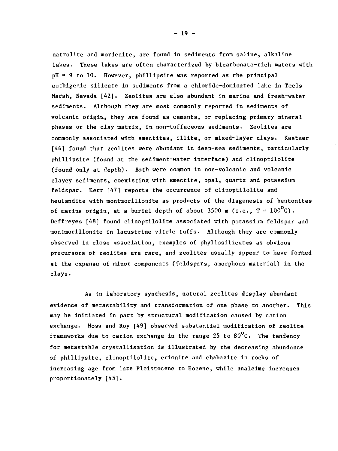natrolite and mordenite, are found in sediments from saline, alkaline lakes. These lakes are often characterized by bicarbonate-rich waters with  $pH = 9$  to 10. However, phillipsite was reported as the principal authigenic silicate in sediments from a chloride-dominated lake in Teels Marsh, Nevada [42]. Zeolites are also abundant in marine and fresh-water sediments. Although they are most commonly reported in sediments of volcanic origin, they are found as cements, or replacing primary mineral phases or the clay matrix, in non-tuffaceous sediments. Zeolites are commonly associated with smectites, illite, or mixed-layer clays. Kastner [46] found that zeolites were abundant in deep-sea sediments, particularly phillipsite (found at the sediment-water interface) and clinoptilolite (found only at depth). Both were common in non-volcanic and volcanic clayey sediments, coexisting with smectite, opal, quartz and potassium feldspar. Kerr [47] reports the occurrence of clinoptilolite and heulandite with montmorillonite as products of the diagenesis of bentonites of marine origin, at a burial depth of about 3500 m (i.e.,  $T = 100^{\circ}c$ ). Deffreyes [48] found clinoptilolite associated with potassium feldspar and montmorillonite in lacustrine vitric tuffs. Although they are commonly observed in close association, examples of phyllosilicates as obvious precursors of zeolites are rare, and zeolites usually appear to have formed at the expense of minor components (feldspars, amorphous material) in the clays.

As in laboratory synthesis, natural zeolites display abundant evidence of metastability and transformation of one phase to another. This may be initiated in part by structural modification caused by cation exchange. Hoss and Roy [49] observed substantial modification of zeolite frameworks due to cation exchange in the range 25 to 80 $^{\circ}$ C. The tendency for metastable crystallisation is illustrated by the decreasing abundance of phillipsite, clinoptilolite, erionite and chabazite in rocks of increasing age from late Pleistocene to Eocene, while analcime increases proportionately [45].

 $-19 -$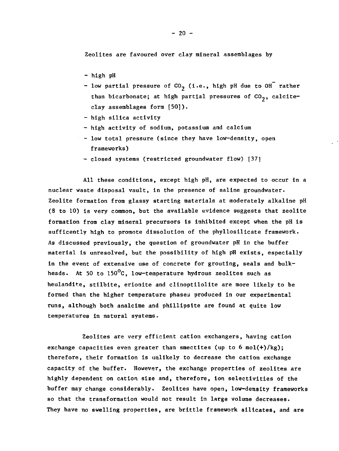Zeolites are favoured over clay mineral assemblages by

- high pH
- low partial pressure of CO<sub>2</sub> (i.e., high pH due to OH<sup>T</sup> rather than bicarbonate; at high partial pressures of  $CO<sub>2</sub>$ , calciteclay assemblages form (501).
- high silica activity
- high activity of sodium, potassium and calcium
- low total pressure (since they have low-density, open frameworks)
- closed systems (restricted groundwater flow) [37]

All these conditions, except high pH, are expected to occur in a nuclear waste disposal vault, in the presence of saline groundwater. Zeolite formation from glassy starting materials at moderately alkaline pH (8 to 10) is very common, but the available evidence suggests that zeolite formation from clay mineral precursors is inhibited except when the pH is sufficently high to promote dissolution of the phyllosilicate framework. As discussed previously, the question of groundwater pH in the buffer material is unresolved, but the possibility of high pH exists, especially in the event of extensive use of concrete for grouting, seals and bulkheads. At 50 to  $150^{\circ}$ C, low-temperature hydrous zeolites such as heulandif.e, stilbite, erionite and clinoptilolite are more likely to be formed than the higher temperature phases produced in our experimental runs, although both analcime and phillipsite are found at quite low temperatures in natural systems-

Zeolites are very efficient cation exchangers, having cation exchange capacities even greater than smectites (up to 6 mol $(+)/kg$ ); therefore, their formation is unlikely to decrease the cation exchange capacity of the buffer. However, the exchange properties of zeolites are highly dependent on cation size and, therefore, ion selectivities of the buffer may change considerably. Zeolites have open, low-density frameworks so that the transformation would not result in large volume decreases. They have no swelling properties, are brittle framework silicates, and are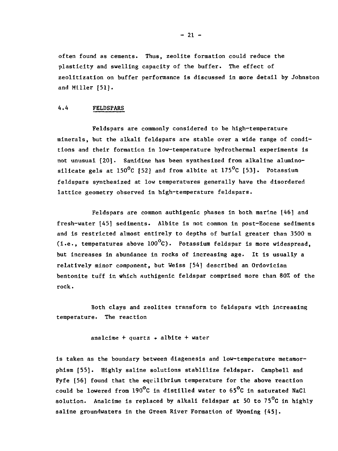often found as cements. Thus, zeolite formation could reduce the plasticity and swelling capacity of the buffer. The effect of zeolitization on buffer performance is discussed in more detail by Johnston and Miller [51].

#### 4.4 FELDSPARS

Feldspars are commonly considered to be high-temperature minerals, but the alkali feldspars are stable over a wide range of conditions and their formation in low-temperature hydrothermal experiments is not unusual [20J. Sanidine has been synthesized from alkaline aluminosilicate gels at 150°C [52] and from albite at 175°C [53]. Potassium feldspars synthesized at low temperatures generally have the disordered lattice geometry observed in high-temperature feldspars.

Feldspars are common authigenic phases in both marine [46] and fresh-water [45] sediments. Albite is not common in post—Eocene sediments and is restricted almost entirely to depths of burial greater than 3500 m (i.e., temperatures above  $100^{\circ}$ C). Potassium feldspar is more widespread, but increases in abundance in rocks of increasing age. It is usually a relatively minor component, but Weiss [54] described an Ordovician bentonite tuff in which authigenic feldspar comprised more than 80% of the rock.

Both clays and zeolites transform to feldspars with increasing temperature. The reaction

analcime + quartz  $\rightarrow$  albite + water

is taken as the boundary between diagenesis and low-temperature metamorphism [55]. Highly saline solutions stablilize feldspar. Campbell and Fyfe [56] found that the equilibrium temperature for the above reaction could be lowered from 190°C in distilled water to 65°C in saturated NaCl solution. Analcime is replaced by alkali feldspar at 50 to 75<sup>°</sup>C in highly saline groundwaters in the Green River Formation of Wyoming (45).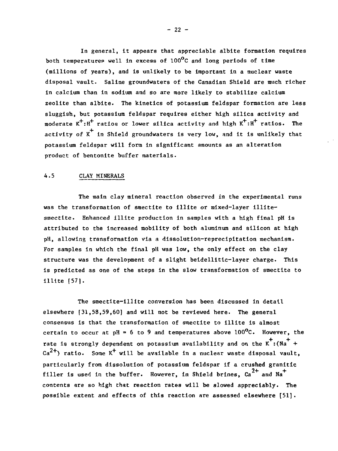In general, it appears that appreciable albite formation requires both temperatures well in excess of  $100^{\circ}$ C and long periods of time (millions of years), and is unlikely to be important in a nuclear waste disposal vault. Saline groundwaters of the Canadian Shield are much richer in calcium than in sodium and so are more likely to stabilize calcium zeolite than albite. The kinetics of potassium feldspar formation are less sluggish, but potassium feldspar requires either high silica activity and moderate  $K^+ : H^+$  ratios or lower silica activity and high  $K^+ : H^+$  ratios. The activity of  $x^+$  in Shield groundwaters is very low, and it is unlikely that potassium feldspar will form in significant amounts as an alteration product of bentonite buffer materials.

#### 4.5 CLAY MINERALS

The main clay mineral reaction observed in the experimental runs was the transformation of smectite to illite or mixed-layer illitesmectite. Enhanced illite production in samples with a high final pH is attributed to the increased mobility of both aluminum and silicon at high pH, allowing transformation via a dissolution-reprecipitatlon mechanism. For samples in which the final pH was low, the only effect on the clay structure was the development of a slight beidellitic-layer charge. This is predicted as one of the steps in the slow transformation of smectite to illite [57].

The smectite-illite conversion has been discussed in detail elsewhere [31,58,59,60] and will not be reviewed here. The general consensus is that the transformation of smectite to illite is almost certain to occur at  $pH = 6$  to 9 and temperatures above 100<sup>o</sup>C. However, the rate is strongly dependent on potassium availability and on the  $K^+$ :(Na<sup>+</sup> +  $ca^{2+}$ ) ratio. Some  $K^+$  will be available in a nuclear waste disposal vault, Ca ) ratio. Some K will be available in a nuclear waste disposal vault, particularly from dissolution of potassium feldspar if a crushed granitic filler is used in the buffer. However, in Shield brines,  $Ca^{2+}$  and Na<sup>+</sup> contents are so high that reaction rates will be slowed appreciably. The possible extent and effects of this reaction are assessed elsewhere [51].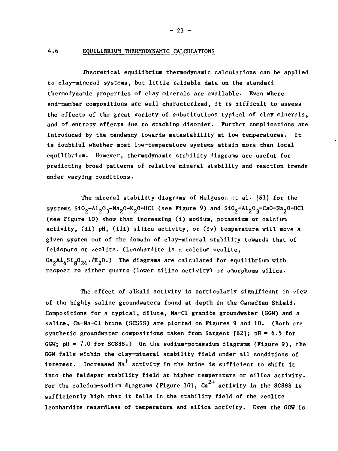#### **4.6 EQUILIBRIUM THERMODYNAMIC CALCULATIONS**

**Theoretical equilibrium thermodynamic calculations can be applied to clay-mineral systems, but little reliable data on the standard thermodynamic properties of clay minerals are available. Even where end-member compositions are well characterized, it is difficult to assess the effects of the great variety of substitutions typical of clay minerals, and of entropy effects due to stacking disorder. Further complications are Introduced by the tendency towards metastability at low temperatures. It is doubtful whether most low-temperature systems attain more than local equilibrium. However, thermodynamic stability diagrams are useful for predicting broad patterns of relative mineral stability and reaction trends under varying conditions.**

**The mineral stability diagrams of Helgeson et al. [611 for the systems SiO2-Al2O3-Na2O-K2O-HCl (see Figure 9) and Si02-Al203-Ca0-Na20-HCl (see Figure 10) show that Increasing (1) sodium, potassium or calcium activity, (ii) pH, (ill) silica activity, or (iv) temperature will move a given system out of the domain of clay-mineral stability towards that of feldspars or zeolite. (Leonhardite is a calcium zeolite, Ca2Al,Sig02,.7H2O.) The diagrams are calculated for equilibrium with respect to either quartz (lower silica activity) or amorphous silica.**

**The effect of alkali activity is particularly significant in view of the highly saline groundwaters found at depth in the Canadian Shield. Compositions for a typical, dilute, Na-Cl granite groundwater (GGW) and a saline, Ca-Na-Cl brine (SCSSS) are plotted on Figures 9 and 10. (Both are synthetic groundwater compositions taken from Sargent [62]; pH » 6.5 for GGW; pH = 7.0 for SCSSS.) On the sodium-potassium diagrams (Figure 9), the GGW falls within the clay-mineral stability field under all conditions of** interest. Increased Na<sup>+</sup> activity in the brine is sufficient to shift it **into the feldspar stability field at higher temperature or silica activity.** For the calcium-sodium diagrams (Figure 10), Ca<sup>2+</sup> activity in the SCSSS is **sufficiently high that it falls in the stability field of the zeolite leonhardite regardless of temperature and silica activity. Even the GGW is**

**- 23 -**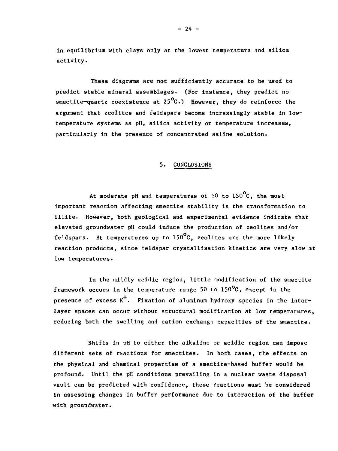in equilibrium with clays only at the lowest temperature and silica activity.

These diagrams are not sufficiently accurate to be used to predict stable mineral assemblages. (For instance, they predict no smectite-quartz coexistence at  $25^{\circ}$ C.) However, they do reinforce the argument that zeolites and feldspars become increasingly stable in lowtemperature systems as pH, silica activity or temperature increases, particularly in the presence of concentrated saline solution.

#### 5. CONCLUSIONS

At moderate pH and temperatures of 50 to  $150^{\circ}$ C, the most important reaction affecting smectite stability is the transformation to illite. However, both geological and experimental evidence indicate that elevated groundwater pH could induce the production of zeolites and/or feldspars. At temperatures up to  $150^{\circ}$ C, zeolites are the more likely reaction products, since feldspar crystallisation kinetics are very slow at low temperatures.

In the mildly acidic region, little modification of the smectite framework occurs in the temperature range 50 to 150 $^{\circ}$ C, except in the presence of excess  $K^+$ . Fixation of aluminum hydroxy species in the interlayer spaces can occur without structural modification at low temperatures, reducing both the swelling and cation exchange capacities of the smectite.

Shifts in pH to either the alkaline or acidic region can impose different sets of reactions for smectites. In both cases, the effects on the physical and chemical properties of a smectite-based buffer would be profound. Until the pH conditions prevailing in a nuclear waste disposal vault can be predicted with confidence, these reactions **must be considered In** assessing changes in buffer performance due to interaction **of the buffer** with **groundwater.**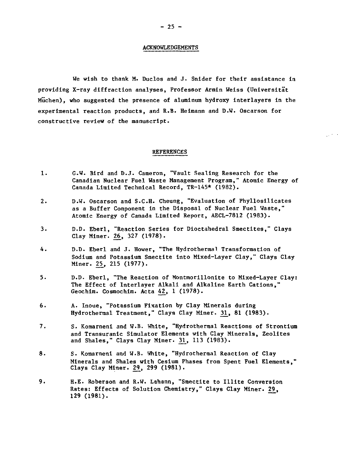#### ACKNOWLEDGEMENTS

We wish to thank M. Duclos and J. Snider for their assistance in providing X-ray diffraction analyses, Professor Armin Weiss (Universitat Muchen), who suggested the presence of aluminum hydroxy interlayers in the experimental reaction products, and R.B. Heimann and D.W. Oscarson for constructive review of the manuscript.

#### REFERENCES

- 1. G.W. Bird and D.J. Cameron, "Vault Sealing Research for the Canadian Nuclear Fuel Waste Management Program," Atomic Energy of Canada Limited Technical Record, TR-145\* (1982).
- 2. D.W. Oscarson and S.C.H. Cheung, "Evaluation of Phyllosilicates as a Buffer Component in the Disposal of Nuclear Fuel Waste," Atomic Energy of Canada Limited Report, AECL-7812 (1983).
- 3. D.D. Eberl, "Reaction Series for Dioctahedral Smectites," Clays Clay Miner. 26, 327 (1978).
- 4. D.D. Eberl and J. Hower, "The Hydrothermal Transformation of Sodium and Potassium Smectite into Mixed-Layer Clay," Clays Clay Miner. 25\_, 215 (1977).
- 5. D.D. Eberl, "The Reaction of Montmorillonite to Mixed-Layer Clay: The Effect of Interlayer Alkali and Alkaline Earth Cations," Geochim. Cosmochim. Acta 4£, 1 (1978).
- 6. A. Inoue, "Potassium Fixation by Clay Minerals during Hydrothermal Treatment," Clays Clay Miner. 31, 81 (1983).
- 7. S. Komarneni and W.B. White, "Hydrothermal Reactions of Strontium and Transuranic Simulator Elements with Clay Minerals, Zeolites and Shales," Clays Clay Miner. 31, 113 (1983).
- 8. S. Komarneni and W.B. White, "Hydrothermal Reaction of Clay Minerals and Shales with Cesium Phases from Spent Fuel Elements," Clays Clay Miner. 29, 299 (1981).
- 9. H.E. Roberson and R.W. Lahann, "Smectite to IIlite Conversion Rates: Effects of Solution Chemistry," Clays Clay Miner. 29, 129 (1981).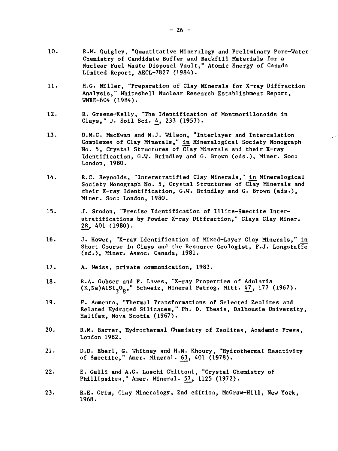- 10. R.M. Quigley, "Quantitative Mineralogy and Preliminary Pore-Water Chemistry of Candidate Buffer and Backfill Materials for a Nuclear Fuel Waste Disposal Vault," Atomic Energy of Canada Limited Report, AECL-7827 (1984).
- 11. H.G. Miller, "Preparation of Clay Minerals for X-ray Diffraction Analysis," Whiteshell Nuclear Research Establishment Report, WNRE-604 (1984).
- 12. R. Greene-Kelly, "The Identification of Montmorillonoids in Clays," J. Soil Sci. 4, 233 (1953).
- 13. D.M.C. MacEwan and M.J. Wilson, "Interlayer and Intercalation Complexes of Clay Minerals," In Mineralogical Society Monograph No. 5, Crystal Structures of Clay Minerals and their X-ray Identification, G.W. Brindley and G. Brown (eds.), Miner. Soc: London, 1980.
- 14. R.C. Reynolds, "Interstratified Clay Minerals," in Mineralogical Society Monograph No. 5, Crystal Structures of Clay Minerals and their X-ray Identification, G.W. Brindley and G. Brown (eds.), Miner. Soc: London, 1980.
- 15. J. Srodon, "Precise Identification of Illite-Smectite Interstratifications by Powder X-ray Diffraction," Clays Clay Miner. 2£, 401 (1980).
- 16. J. Hower, "X-ray Identification of Mixed-Layer Clay Minerals," in Short Course in Clays and the Resource Geologist, F.J. Longstaffe (ed.), Miner. Assoc. Canada, 1981.
- 17. A. Weiss, private communication, 1983.
- 18. R.A. Gubser and F. Laves, "X-ray Properties of Adularia  $(K,Na)A1Si<sub>3</sub>O<sub>8</sub>$ , Schweiz, Mineral Petrog. Mitt.  $47$ , 177 (1967).
- 19. F. Aumento, "Thermal Transformations of Selected Zeolites and Related Hydrated Silicates," Ph. D. Thesis, Dalhousie University, Halifax, Nova Scotia (1967).
- 20. R.M. Barrer, Hydrothermal Chemistry of Zeolites, Academic Press, London 1982.
- 21. D.D. Eberl, G. Whitney and H.N. Khoury, "Hydrotherraal Reactivity of Smectite," Amer. Mineral. 63\_, 401 (1978).
- 22. E. Galli and A.G. Loschi Ghittoni, "Crystal Chemistry of Phillipsites," Amer. Mineral. 57\_, 1125 (1972).
- 23. R.E. Grim, Clay Mineralogy, 2nd edition, McGraw-Hill, **New** York, 1968.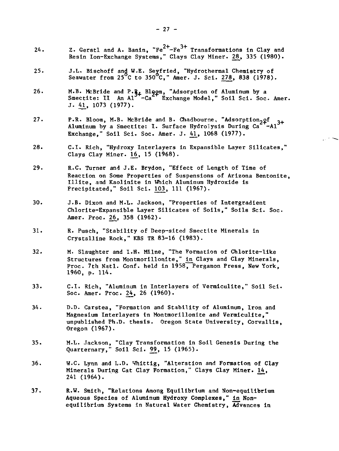- Z. Gerstl and A. Banin.  ${}^nFe^{2+}-Fe^{3+}$  Transformations in Clay and  $\frac{24.7}{20.41}$  Bostn Jon-Frebonso Systems in Clay Alper 28, 335 (1980) Resin Ion-Exchange Systems," Clays Clay Miner. 20, 335 (1980).
- 25. J.L. Bischoff and W.E. Seyfried, "Hydrothermal Chemistry of Seawater from  $25^{\circ}$ C to  $350^{\circ}$ C," Amer. J. Sci. 278, 838 (1978).
- 26. M.B. McBride and P.R. Bloom, "Adsorption of Aluminum by a Smectite: II An Al '-Ca ' Exchange Model," Soil Sci. Soc. Amer. J. 41, 1073 (1977).
- 27. P.R. Bloom, M.B. McBride and B. Chadbourne, "Adsorption<sub>2</sub>gf Aluminum by a Smectite: I. Surface Hydrolysis During Ca Exchange," Soil Sci. Soc. Amer. J. 41\_, 1068 (1977).
- 28. C.I. Rich, "Hydroxy Interlayers in Expansible Layer Silicates," Clays Clay Miner.  $16, 15$  (1968).
- 29. R.C. Turner and J.E. Brydon, "Effect of Length of Time of Reaction on Some Properties of Suspensions of Arizona Bentonite, Illite, and Kaolinite in Which Aluminum Hydroxide is Precipitated," Soil Sci. 103, 111 (1967).
- 30. J.B. Dixon and M.L. Jackson, "Properties of Intergradient Chlorite-Expansible Layer Silicates of Soils," Soils Sci. Soc. Amer. Proc. 26, 358 (1962).
- 31. R. Pusch, "Stability of Deep-sited Smectite Minerals in Crystalline Rock," KBS TR 83-16 (1983).
- 32. M. Slaughter and I.H. Milne, "The Formation of Chlorite-like Structures from Montmorillonite," In Clays and Clay Minerals, Proc. 7th Natl. Conf. held in 1958, Pergamon Press, New York, 1960, p. 114.
- 33. C.I. Rich, "Aluminum in Interlayers of Vermiculite," Soil Sci. Soc. Amer. Proc. 24, 26 (1960).
- 34. D.D. Carstea, "Formation and Stability of Aluminum, Iron and Magnesium Interlayers in Montmorillonite and Vermiculite," unpublished Ph.D. thesis. Oregon State University, Corvallis, Oregon (1967).
- 35. M.L. Jackson, "Clay Transformation in Soil Genesis During the Quarternary," Soil Sci. 99, 15 (1965).
- 36. W.C. Lynn and L.D. Vhittig, "Alteration and Formation of Clay Minerals During Cat Clay Formation," Clays Clay Miner. 14, 241 (1964).
- 37. R.W. Smith, "Relations Among Equilibrium and Non-equilibrium Aqueous Species of Aluminum Hydroxy Complexes," in Nonequilibrium Systems in Natural Water Chemistry, Advances in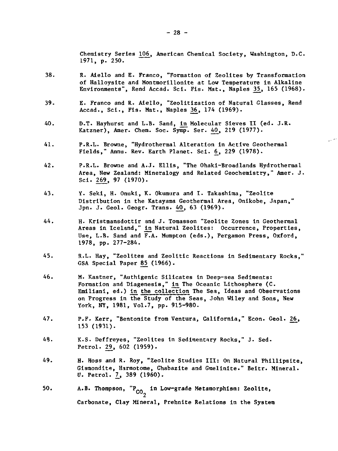Chemistry Series 106, American Chemical Society, Washington, D.C. 1971, p. 250.

أسريد

- 38. R. Aiello and E. Franco, "Formation of Zeolites by Transformation of Halloysite and Montmorillonite at Low Temperature in Alkaline Environments", Rend Accad. Sci. Fis. Mat., Naples 35, 165 (1968).
- 39. E. Franco and R. Aiello, "Zeolitization of Natural Glasses, Rend Accad., Sci., Fis. Mat., Naples 36, 174 (1969).
- 40. D.T. Hayhurst and L.B. Sand, in Molecular Sieves II (ed. J.R. Katzner), Amer. Chem. Soc. Symp. Ser. 40, 219 (1977).
- 41. P.R.L. Browne, "Hydrothermal Alteration in Active Geothermal Fields," Annu. Rev. Earth Planet. Sci. 6, 229 (1978).
- 42. P.R.L. Browne and A.J. Ellis, "The Ohaki-Broadlands Hydrothermal Area, New Zealand: Mineralogy and Related Geochemistry," Amer. J. Sci. 269, 97 (1970).
- 43. Y. Seki, H. Onuki, K. Okumura and I. Takashima, "Zeolite Distribution in the Katayama Geothermal Area, Onikobe, Japan," Jpn. J. Geol. Geogr. Trans. 40, 63 (1969).
- 44. H. Kristmansdottir and J. Tomasson "Zeolite Zones in Geothermal Areas in Iceland," tn Natural Zeolites: Occurrence, Properties, Use, L.B. Sand and F.A. Mumpton (eds.), Pergamon Press, Oxford, 1978, pp. 277-284.
- 45. R.L. Hay, "Zeolites and Zeolitic Reactions in Sedimentary Rocks," GSA Special Paper 85 (1966).
- 46. M. Kastner, "Authigenic Silicates in Deep-sea Sediments: Formation and Diagenesis," in The Oceanic Lithosphere (C. Emilianl, ed.) In the collection The Sea, Ideas and Observations on Progress in the Study of the Seas, John Wiley and Sons, New York, NY, 1981, Vol.7, pp. 915-980.
- 47. P.F. Kerr, "Bentonite from Ventura, California," Econ. Geol. 26, 153 (1931).
- 48. K.S. Deffreyes, "Zeolites in Sedimentary Rocks," J. Sed. Petrol. 29, 602 (1959).
- 49. H. Hoss and R. Roy, "Zeolite Studies III: On Natural Phillipsite, Gismondite, Harmotome, Chabazite and Gmelinite." Beitr. Mineral. U. Petrol. 7, 389 (1960).
- 50. A.B. Thompson,  $P_{CO_2}$  in Low-grade Metamorphism: Zeolite,  $rac{c}{2}$ Carbonate, Clay Mineral, Prehnite Relations in the System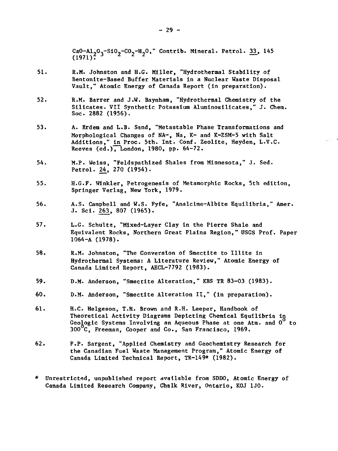CaO-Al<sub>2</sub>O<sub>3</sub>-SiO<sub>2</sub>-CO<sub>2</sub>-H<sub>2</sub>O," Contrib. Mineral. Petrol. <u>33</u>, 145<br>(1971)  $(1971)$ <sup>2</sup>

- 51. R.M. Johnston and H.G. Miller, "Hydrothermal Stability of Bentonite-Based Buffer Materials in a Nuclear Waste Disposal Vault," Atomic Energy of Canada Report (in preparation).
- 52. R.M. Barrer and J.W. Baynham, "Hydrothermal Chemistry of the Silicates. VII Synthetic Potassium Aluminosilicates," J. Chem. Soc. 2882 (1956).
- 53. A. Erdem and L.B. Sand, "Metastable Phase Transformations and Morphological Changes of NA-, Na, K- and K-ZSM-5 with Salt Additions," in Proc. 5th. Int. Conf. Zeolite, Heyden, L.V.C. Reeves (ed.), London, 1980, pp. 64-72.

 $\mathbb{R}^{1\times 1}$ 

- 54. M.P. Weiss, "Feldspathized Shales from Minnesota," J. Sed. Petrol. 24, 270 (1954).
- 55. H.G.F. Winkler, Petrogenesis of Metamorphic Rocks, 5th edition, Springer Verlag, New York, 1979.
- 56. A.S. Campbell and W.S. Fyfe, "Analcime-Albite Equilibria," Amer. J. Sci. 263, 807 (1965).
- 57. L.G. Schultz, "Mixed-Layer Clay in the Pierre Shale and Equivalent Rocks, Northern Great Plains Region," USGS Prof. Paper 1064-A (1978).
- 58. R.M. Johnston, "The Conversion of Smectite to Illite in Hydrothermal Systems: A Literature Review," Atomic Energy of Canada Limited Report, AECL-7792 (1983).
- 59. D.M. Anderson, "Smectite Alteration," KBS TR 83-03 (1983).
- 60. D.M. Anderson, "Smectite Alteration II," (in preparation).
- 61. H.C. Helgeson, T.H. Brown and R.H. Leeper, Handbook of Theoretical Activity Diagrams Depicting Chemical Equilibria in Geologic Systems Involving an Aqueous Phase at one Atm. and  $0^{\circ}$  to 300 C, Freeman, Cooper and Co., San Francisco, 1969.
- 62. F.P. Sargent, "Applied Chemistry and Geochemistry Research for the Canadian Fuel Waste Management Program," Atomic Energy of Canada Limited Technical Report, TR-149\* (1982).
- \* Unrestricted, unpublished report available from SDDO, Atomic Energy of Canada Limited Research Company, Chalk River, Ontario, KOJ 1J0.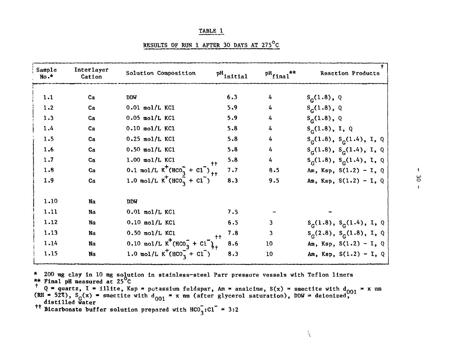| .,<br>. . |  |
|-----------|--|
|           |  |

| RESULTS OF RUN 1 AFTER 30 DAYS AT 275 <sup>°</sup> C |  |  |  |  |
|------------------------------------------------------|--|--|--|--|
|                                                      |  |  |  |  |

| Sample<br>No.* | Interlayer<br>Cation | Solution Composition                         | $P^{H}$ initial | $pH_{final}$ ** | <b>Reaction Products</b>       |
|----------------|----------------------|----------------------------------------------|-----------------|-----------------|--------------------------------|
| 1.1            | $ca$                 | <b>DDW</b>                                   | 6.3             |                 | $S_C(1.8), Q$                  |
| 1.2            | Ca                   | $0.01$ mol/L KC1                             | 5.9             | 4               | $S_c(1.8), Q$                  |
| 1.3            | Ca                   | $0.05$ mol/L KCl                             | 5.9             | 4               | $S_c(1.8), Q$                  |
| 1.4            | Ca                   | $0.10$ mol/L KCl                             | 5.8             | 4               | $S_c(1.8), I, Q$               |
| 1.5            | Ca                   | $0.25$ mol/L KCl                             | 5.8             | 4               | $S_c(1.8)$ , $S_c(1.4)$ , I, Q |
| 1.6            | $ca$                 | $0.50$ mol/L KCl                             | 5.8             | 4               | $S_c(1.8)$ , $S_c(1.4)$ , I, Q |
| 1.7            | $ca$                 | $1.00$ mol/L KCl                             | 5.8             | 4               | $S_c(1.8), S_c(1.4), I, Q$     |
| 1.8            | Ca                   | 0.1 mol/L $K^{+}(HCO_{3}^{-} + Cl^{-})_{++}$ | 7.7             | 8.5             | Am, Ksp, $S(1.2) - I$ , Q      |
| 1.9            | Ca                   | 1.0 mol/L $K^{+}(HCO_{3}^{-} + Cl^{-})$      | 8.3             | 9.5             | Am, Ksp, $S(1.2) - I$ , Q      |
| 1.10           | Na                   | DDM                                          |                 |                 |                                |
| 1.11           | Na                   | $0.01$ mol/L KCl                             | 7.5             |                 |                                |
| 1.12           | Na                   | $0.10$ mol/L KCl                             | 6.5             | 3               | $S_c(1.8), S_c(1.4), I, Q$     |
| 1.13           | Na                   | $0.50$ mol/L KCl                             | 7.8             | 3               | $S_c(2.8), S_c(1.8), I, Q$     |
| 1.14           | Na                   | 0.10 mol/L $K^{+}(HCO_{3}^{-} + Cl^{+})$     | 8.6             | 10              | Am, Ksp, $S(1.2) - I$ , Q      |
| 1.15           | Na                   | 1.0 mol/L $K^{+}(HCO_{3}^{-} + Cl^{+})$      | 8.3             | 10              | Am, Ksp, $S(1.2) - I$ , Q      |

\* 200 mg clay in 10 mg solution in stainless-steel Parr pressure vessels with Teflon liners \*\* Final pH measured at 25°C

Q = quartz, I = illite, Ksp (RH 52%),  $S_c(x)$ distilled water smectite with d potassium feldspar, Am = analcime, S(x) = smectite with d<sub>oo1</sub> = x nm  $_{001}$  = x nm (after glycerol saturation), DDW = deionized,

j.

tt Bicarbonate buffer solution prepared with  $HCO_2:Cl$  = 3:2

—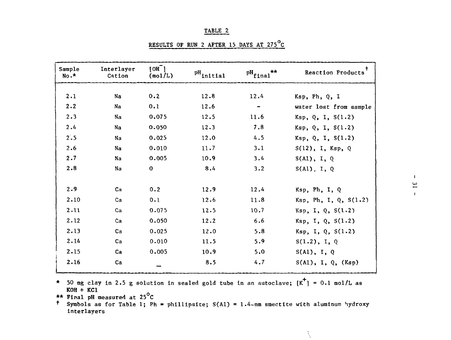| RESULTS OF RUN 2 AFTER 15 DAYS AT 275 C |  |  |  |  |  |
|-----------------------------------------|--|--|--|--|--|
|                                         |  |  |  |  |  |

| Sample<br>$No.*$ | Interlayer<br>Cation | $[OH-]$<br>(mol/L) | $P^H$ initial | $P^H$ final** | Reaction Products       |
|------------------|----------------------|--------------------|---------------|---------------|-------------------------|
| 2.1              | Na                   | 0.2                | 12.8          | 12.4          |                         |
|                  |                      |                    |               |               | Ksp, Ph, Q, I           |
| 2.2              | Na                   | 0.1                | 12.6          |               | water lost from sample  |
| 2.3              | Na                   | 0.075              | 12.5          | 11.6          | Ksp, Q, I, S(1.2)       |
| 2.4              | Na                   | 0.050              | 12.3          | 7.8           | Ksp, Q, I, S(1.2)       |
| 2.5              | Na                   | 0.025              | 12.0          | 4.5           | Ksp, Q, I, S(1.2)       |
| 2.6              | Na                   | 0.010              | 11.7          | 3.1           | $S(12)$ , I, Ksp, Q     |
| 2.7              | Na                   | 0.005              | 10.9          | 3.4           | S(A1), I, Q             |
| 2.8              | Na                   | $\mathbf 0$        | 8.4           | 3.2           | $S(A1)$ , I, Q          |
| 2.9              | Ca                   | 0.2                | 12.9          | 12.4          | Ksp, Ph, I, Q           |
| 2.10             | Ca                   | 0.1                | 12.6          | 11.8          | Ksp, Ph, I, Q, S(1.2)   |
| 2.11             | Ca                   | 0.075              | 12.5          | 10.7          | $Ksp$ , I, Q, $S(1.2)$  |
| 2.12             | Ca                   | 0.050              | 12.2          | 6.6           | Ksp, I, Q, S(1.2)       |
| 2.13             | Ca                   | 0.025              | 12.0          | 5.8           | Ksp, I, Q, S(1.2)       |
| 2.14             | Ca                   | 0.010              | 11.5          | 5.9           | $S(1.2)$ , I, Q         |
| 2.15             | Ca                   | 0.005              | 10.9          | 5.0           | $S(A1)$ , I, Q          |
| 2.16             | Ca                   |                    | 8.5           | 4.7           | $S(A1)$ , I, Q, $(Ksp)$ |

\* 50 mg clay in 2.5 g solution in sealed gold tube in an autoclave;  $[K^{\dagger}] = 0.1$  mol/L as  $KOH + KCl$ 

\*\* Final pH measured at  $25^{\circ}$ C

 $^{\dagger}$  Symbols as for Table 1; Ph = phillipsite; S(A1) = 1.4-nm smectite with aluminum hydroxy interlayers

 $\Lambda$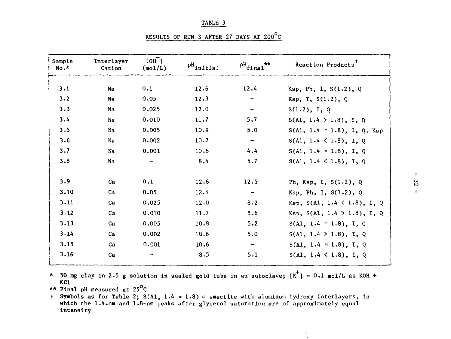RESULTS OF RUN 3 AFTER 27 DAYS AT  $200^{\circ}$ C

| Sample<br>$No.*$ | Interlaver<br>Cation | [OH]<br>(mol/L) | $\rm{^{pH}$ initial | $P^H$ final <sup>**</sup> | Reaction Products <sup>7</sup>      |
|------------------|----------------------|-----------------|---------------------|---------------------------|-------------------------------------|
| 3.1              | Na                   | 0.1             | 12.6                | 12.4                      | Ksp, Ph, I, $S(1.2)$ , Q            |
| 3.2              | Na                   | 0.05            | 12.3                |                           | Ksp, I, S(1.2), Q                   |
| 3.3              | Na                   | 0.025           | 12.0                |                           | S(1.2), I, Q                        |
| 3.4              | Na                   | 0.010           | 11.7                | 5.7                       | S(A1, 1.4 > 1.8), I, Q              |
| 3.5              | Na                   | 0.005           | 10.9                | 5.0                       | $S(A1, 1.4 \approx 1.8), I, Q, Ksp$ |
| 3.6              | Na                   | 0.002           | 10.7                |                           | S(A1, 1.4 < 1.8), I, Q              |
| 3.7              | Na                   | 0.001           | 10.6                | 4.4                       | $S(A1, 1.4 \approx 1.8), I, Q$      |
| 3.8              | Na                   |                 | 8.4                 | 5.7                       | $S(A1, 1.4 \le 1.8), I, Q$          |
| 3.9              | ca                   | 0.1             | 12.6                | 12.5                      | Ph, Ksp, I, $S(1.2)$ , Q            |
| 3.10             | Ca                   | 0.05            | 12.4                |                           | Ksp, Ph, I, S(1.2), Q               |
| 3.11             | Ca                   | 0.025           | 12.0                | 8.2                       | Ksp, $S(A1, 1.4 < 1.8)$ , I, Q      |
| 3.12             | ca                   | 0.010           | 11.7                | 5.6                       | Ksp, $S(A1, 1.4 > 1.8)$ , I, Q      |
| 3.13             | ca                   | 0.005           | 10.8                | 5.2                       | $S(A1, 1.4 \approx 1.8), I, Q$      |
| 3.14             | Ca                   | 0.002           | 10.8                | 5.0                       | S(A1, 1.4 > 1.8), I, Q              |
| 3.15             | ca                   | 0.001           | 10.6                | $\sim$                    | $S(A1, 1.4 \approx 1.8), I, Q$      |
| 3.16             | Ca                   |                 | 3.5                 | 5.1                       | $S(A1, 1.4 \le 1.8), I, Q$          |

\* 50 mg clay in 2.5 g solution in sealed gold tube in an autoclave;  $K^+$ ] = 0.1 mol/L as KOH + KCl

\*\* Final pH measured at 25°C

+ Symbols as for Table 2;  $S(A1, 1.4 = 1.8)$  = smectite with aluminum hydroxy interlayers, in which the 1.4-nm and 1.8-nm peaks after glycerol saturation are of approximately equal intensity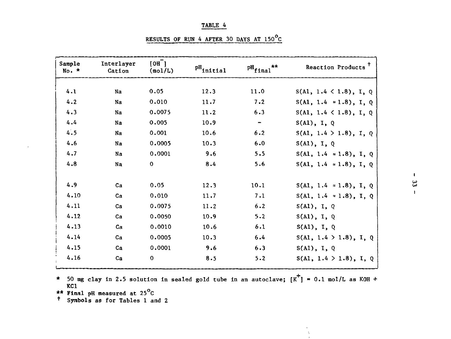| RESULTS OF RUN 4 AFTER 30 DAYS AT 150°C |  |  |  |  |
|-----------------------------------------|--|--|--|--|
|                                         |  |  |  |  |

| Sample<br>$No. *$ | Interlayer<br>Cation | $[OH^-]$<br>(mol/L) | $P^H$ initial | $P^H$ final**            | Reaction Products              |
|-------------------|----------------------|---------------------|---------------|--------------------------|--------------------------------|
| 4.1               | Na                   | 0.05                | 12.3          | 11.0                     |                                |
|                   |                      |                     |               |                          | $S(A1, 1.4 \le 1.8), I, Q$     |
| 4.2               | Na                   | 0.010               | 11.7          | 7.2                      | $S(A1, 1.4 \approx 1.8), I, Q$ |
| 4.3               | Na                   | 0.0075              | 11.2          | 6.3                      | S(A1, 1.4 < 1.8), I, Q         |
| 4.4               | Na                   | 0.005               | 10.9          | $\overline{\phantom{m}}$ | $S(A1)$ , I, Q                 |
| 4.5               | Na                   | 0.001               | 10.6          | 6.2                      | S(A1, 1.4 > 1.8), I, Q         |
| 4.6               | Na                   | 0.0005              | 10.3          | 6.0                      | $S(A1)$ , I, Q                 |
| 4.7               | Na                   | 0.0001              | 9.6           | 5.5                      | $S(A1, 1.4 \approx 1.8), I, Q$ |
| 4.8               | Na                   | $\mathbf 0$         | 8.4           | 5.6                      | $S(A1, 1.4 \approx 1.8), I, Q$ |
| 4.9               | $ca$                 | 0.05                | 12.3          | 10.1                     | $S(A1, 1.4 = 1.8), I, Q$       |
| 4.10              | $ca$                 | 0.010               | 11.7          | 7.1                      | $S(A1, 1.4 \approx 1.8), I, Q$ |
| 4.11              | Ca                   | 0.0075              | 11.2          | 6.2                      | S(A1), I, Q                    |
| 4.12              | $ca$                 | 0.0050              | 10.9          | 5.2                      | $S(A1)$ , I, Q                 |
| 4.13              | $Ca$                 | 0.0010              | 10.6          | 6.1                      | $S(A1)$ , I, Q                 |
| 4.14              | $ca$                 | 0.0005              | 10.3          | 6.4                      | S(A1, 1.4 > 1.8), I, Q         |
| 4.15              | ca                   | 0.0001              | 9.6           | 6.3                      | $S(A1)$ , I, Q                 |
| 4.16              | ca                   | $\mathbf 0$         | 8.5           | 5.2                      | S(A1, 1.4 > 1.8), I, Q         |

\* 50 mg clay in 2.5 solution in sealed gold tube in an autoclave;  $[K^+]$  = 0.1 mol/L as KOH + KC1 \*\* Final pH measured at 25°**°**<sup>C</sup>

 $\chi$ 

<sup>+</sup> Symbols as for Tables 1 and 2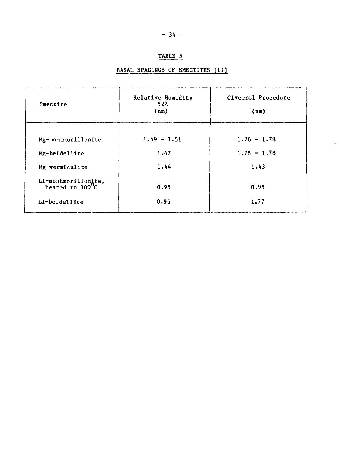### BASAL SPACINGS OF SMECTITES [11]

| Smectife                                            | Relative Humidity<br>52%<br>(mn) | Glycerol Procedure<br>(nm) |
|-----------------------------------------------------|----------------------------------|----------------------------|
|                                                     |                                  |                            |
| Mg-montmorillonite                                  | $1.49 - 1.51$                    | $1.76 - 1.78$              |
| Mg-beidellite                                       | 1.47                             | $1.76 - 1.78$              |
| Mg-vermiculite                                      | 1.44                             | 1.43                       |
| Li-montmorillonite,<br>heated to 300 <sup>°</sup> C | 0.95                             | 0.95                       |
| Li-beidellite                                       | 0.95                             | 1.77                       |

للربار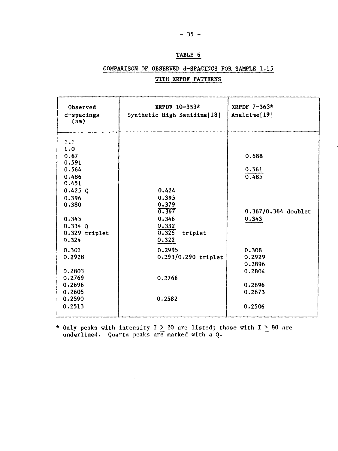## COMPARISON OF OBSERVED d-SPACINGS FOR SAMPLE 1.15 WITH XRPDF PATTERNS

| Observed<br>d-spacings<br>(nm)                                                                                                                                                                                       | XRPDF 10-353*<br>Synthetic High Sanidine[18]                                                                                         | XRPDF $7-363*$<br>Analcime[19]                                                                                               |
|----------------------------------------------------------------------------------------------------------------------------------------------------------------------------------------------------------------------|--------------------------------------------------------------------------------------------------------------------------------------|------------------------------------------------------------------------------------------------------------------------------|
| 1.1<br>1.0<br>0.67<br>0.591<br>0.564<br>0.486<br>0.451<br>$0.425$ 0<br>0.396<br>0.380<br>0.345<br>$0.334$ 0<br>0.329 triplet<br>0.324<br>0.301<br>0.2928<br>0.2803<br>0.2769<br>0.2696<br>0.2605<br>0.2590<br>0.2513 | 0.424<br>0.395<br>0.379<br>0.367<br>0.346<br>0.332<br>0.326<br>triplet<br>0.322<br>0.2995<br>0.293/0.290 triplet<br>0.2766<br>0.2582 | 0.688<br>0.561<br>0.485<br>0.367/0.364 doublet<br>0.343<br>0.308<br>0.2929<br>0.2896<br>0.2804<br>0.2696<br>0.2673<br>0.2506 |
|                                                                                                                                                                                                                      |                                                                                                                                      |                                                                                                                              |

\* Only peaks with intensity I  $>$  20 are listed; those with I  $>$  80 are underlined. Quartz peaks are marked with a Q.

 $\bar{z}$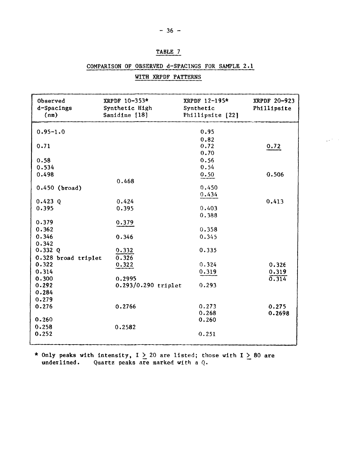#### COMPARISON OF OBSERVED d-SPACINGS FOR SAMPLE 2.1

 $\mathcal{L}^{(1)}$ 

| Observed<br>d-Spacings | XRPDF 10-353*<br>Synthetic High | XRPDF 12-195*<br>Synthetic | <b>XRPDF 20-923</b><br>Phillipsite |
|------------------------|---------------------------------|----------------------------|------------------------------------|
| (nn)                   | Sanidine [18]                   | Phillipsite [22]           |                                    |
|                        |                                 |                            |                                    |
| $0.95 - 1.0$           |                                 | 0.95                       |                                    |
|                        |                                 | 0.82                       |                                    |
| 0.71                   |                                 | 0.72                       | 0.72                               |
|                        |                                 | 0.70                       |                                    |
| 0.58                   |                                 | 0.56                       |                                    |
| 0.534                  |                                 | 0.54                       |                                    |
| 0.498                  |                                 | 0.50                       | 0.506                              |
|                        | 0.468                           |                            |                                    |
| $0.450$ (broad)        |                                 | 0.450                      |                                    |
|                        |                                 | 0.434                      |                                    |
| $0.423$ 0              | 0.424                           |                            | 0.413                              |
| 0.395                  | 0.395                           | 0.403                      |                                    |
|                        |                                 | 0.388                      |                                    |
| 0.379                  | 0.379                           |                            |                                    |
| 0.362                  |                                 | 0.358                      |                                    |
| 0.346                  | 0.346                           | 0.345                      |                                    |
| 0.342                  |                                 |                            |                                    |
| 0.332Q                 | 0.332                           | 0.335                      |                                    |
| 0.328 broad triplet    | 0.326                           |                            |                                    |
| 0.322                  | 0.322                           | 0.324                      | 0.326                              |
| 0.314                  |                                 | 0.319                      | 0.319                              |
| 0.300                  | 0.2995                          |                            | 0.314                              |
| 0.292                  | 0.293/0.290 triplet             | 0.293                      |                                    |
| 0.284                  |                                 |                            |                                    |
| 0.279                  |                                 |                            |                                    |
| 0.276                  | 0.2766                          | 0.273<br>0.268             | 0.275                              |
| 0.260                  |                                 | 0.260                      | 0.2698                             |
| 0.258                  | 0.2582                          |                            |                                    |
| 0.252                  |                                 | 0.251                      |                                    |
|                        |                                 |                            |                                    |
|                        |                                 |                            |                                    |

### WITH XRPDF PATTERNS

\* Only peaks with intensity, I  $\geq$  20 are listed; those with I  $>$  80 are underlined. Quartz peaks are marked with a Q.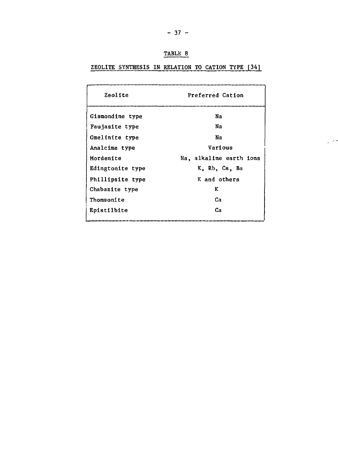| ABLL |  |
|------|--|
|      |  |

ZEOLITE SYNTHESIS IN RELATION TO CATION TYPE [34]

| Zeolite            | Preferred Cation        |  |
|--------------------|-------------------------|--|
| Gismondine type    | Nа                      |  |
| Faujasite type     | Na                      |  |
| Gmelinite type     | Na                      |  |
| Analcime type      | Various                 |  |
| Mordenite          | Na, alkaline earth ions |  |
| Edingtonite type   | K. Rb. Cs. Ba           |  |
| Phillipsite type   | K and others            |  |
| Chabazite type     | K                       |  |
| Thomsonite         | Cа                      |  |
| <b>Epistilbite</b> | Cа                      |  |

والراز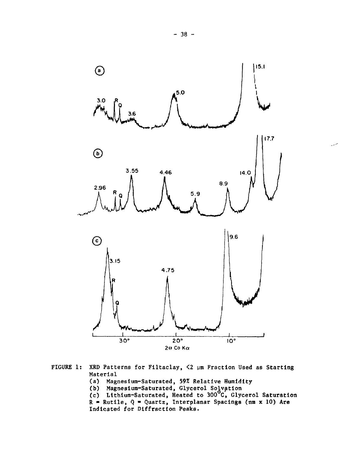

- **FIGURE 1: XRD Patterns for Filtaclay, <2 um Fraction Used as Starting Material**
	- **(a) Magnesium-Saturated, 59% Relative Humidity**
	- **(b) Magnesium-Saturated, Glycerol Solvation**
	- **(c) Lithium-Saturated, Heated to 300°C, Glycerol Saturation R • Rutile, Q - Quartz, Interplanar Spacings (nm x 10) Are Indicated for Diffraction Peaks.**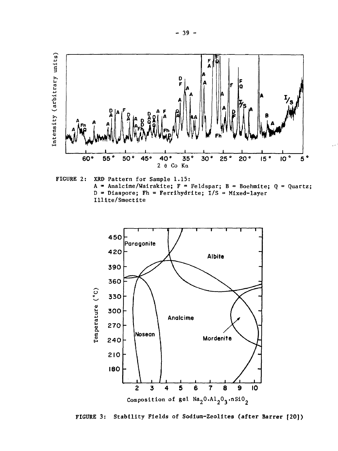

FIGURE 2: XRD Pattern for Sample 1.15: A = Analcime/Wairakite;  $F =$  Feldspar; B = Boehmite; Q = Quartz;  $D = D$ iaspore; Fh = Ferrihydrite; I/S = Mixed-layer Illite/Smectite



**FIGURE 3: Stability Fields of Sodium-Zeolites (after Barrer [20])**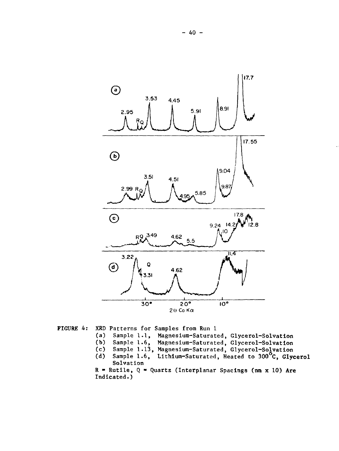

FIGURE 4: XRD Patterns for Samples from Run 1

(a) Sample l.l, Magnesium-Saturated, Glycerol-Solvation

- (b) Sample 1.6, Magnesium-Saturated, Glycerol-Solvation
- (c) Sample 1.13, Magnesium-Saturated, Glycerol-Solvation
- (d) Sample 1.6, Lithium-Saturated, Heated to 300°C, Glycerol Solvation

 $R =$  Rutile,  $Q =$  Quartz (Interplanar Spacings (nm x 10) Are Indicated.)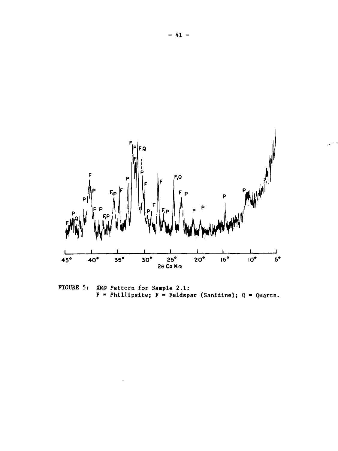

FIGURE 5: XRD Pattern for Sample 2.1: P = Phillipsite; F = Feldspar (Sanidine); Q = Quartz.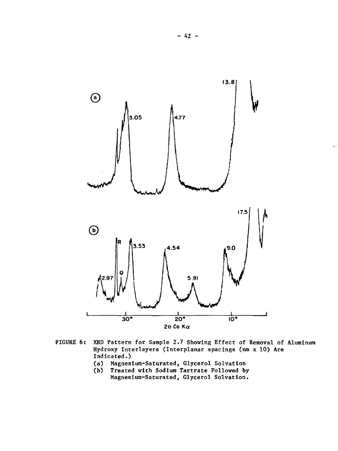

- FIGURE 6: XRD Pattern for Sample 2.7 Showing Effect of Removal of Aluminum Hydroxy Interlayers (Interplanar spacings (nm x 10) Are Indicated.)
	- (a) Magnesium-Saturated, Glycerol Solvation
	- (b) Treated with Sodium Tartrate Followed by Magnesium-Saturated, Glycerol Solvation.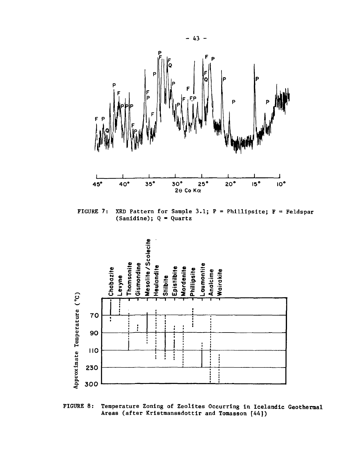

XRD Pattern for Sample 3.1;  $P = Philllipsite$ ;  $F = Feldspar$ FIGURE 7: (Sanidine);  $Q = Q^{\text{uartz}}$ 



**FIGURE 8: Temperature Zoning of Zeolites Occurring in Icelandic Geothermal Areas (after Kristmanssdottir and Tomasson [44])**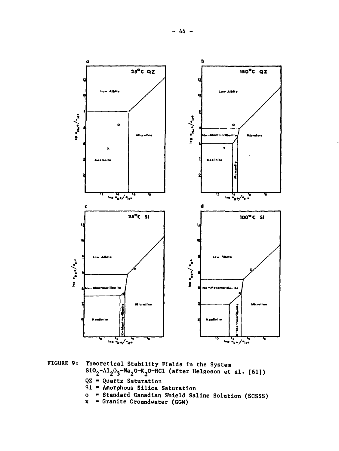

**FIGURE 9: Theoretical Stability Fields in the System Si02-Al203-Na20-K20-HCl (after Helgeson et al. [61])**

- QZ = Quartz Saturation
- **Si Amorphous Silica Saturation**
- **o Standard Canadian Shield Saline Solution (SCSSS)**
- **x Granite Groundwater (GGW)**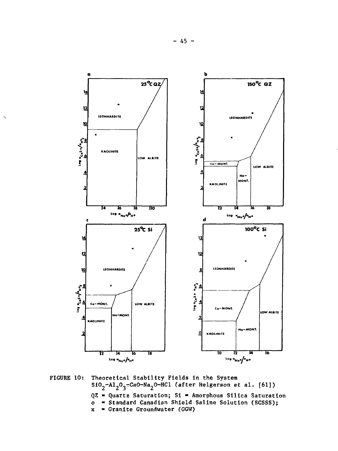

**FIGURE 10: Theoretical Stability Fields in the System SiO -Al203rCa0-Na20-HCl (after Helgerson et al. [61]> QZ - Quartz Saturation; Si - Amorphous Silica Saturation o » Standard Canadian Shield Saline Solution (SCSSS); x - Granite Groundwater (GGW)**